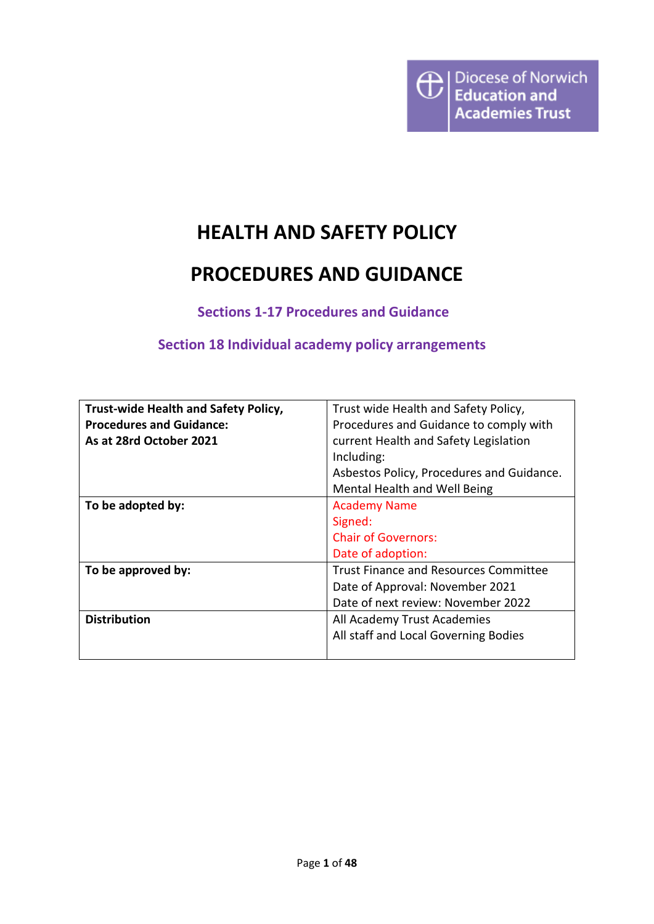# **HEALTH AND SAFETY POLICY**

# **PROCEDURES AND GUIDANCE**

**Sections 1-17 Procedures and Guidance**

# **Section 18 Individual academy policy arrangements**

| Trust-wide Health and Safety Policy, | Trust wide Health and Safety Policy,         |  |  |
|--------------------------------------|----------------------------------------------|--|--|
|                                      |                                              |  |  |
| <b>Procedures and Guidance:</b>      | Procedures and Guidance to comply with       |  |  |
| As at 28rd October 2021              | current Health and Safety Legislation        |  |  |
|                                      | Including:                                   |  |  |
|                                      | Asbestos Policy, Procedures and Guidance.    |  |  |
|                                      | Mental Health and Well Being                 |  |  |
| To be adopted by:                    | <b>Academy Name</b>                          |  |  |
|                                      | Signed:                                      |  |  |
|                                      | <b>Chair of Governors:</b>                   |  |  |
|                                      | Date of adoption:                            |  |  |
| To be approved by:                   | <b>Trust Finance and Resources Committee</b> |  |  |
|                                      | Date of Approval: November 2021              |  |  |
|                                      | Date of next review: November 2022           |  |  |
| <b>Distribution</b>                  | All Academy Trust Academies                  |  |  |
|                                      | All staff and Local Governing Bodies         |  |  |
|                                      |                                              |  |  |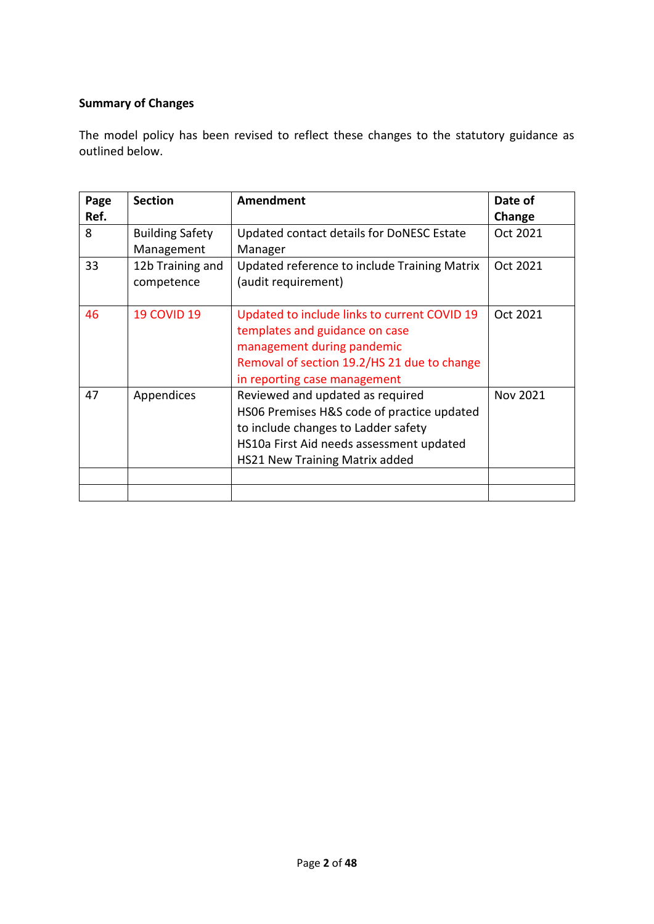# **Summary of Changes**

The model policy has been revised to reflect these changes to the statutory guidance as outlined below.

| Page | <b>Section</b>         | <b>Amendment</b>                             | Date of  |
|------|------------------------|----------------------------------------------|----------|
| Ref. |                        |                                              | Change   |
| 8    | <b>Building Safety</b> | Updated contact details for DoNESC Estate    | Oct 2021 |
|      | Management             | Manager                                      |          |
| 33   | 12b Training and       | Updated reference to include Training Matrix | Oct 2021 |
|      | competence             | (audit requirement)                          |          |
|      |                        |                                              |          |
| 46   | <b>19 COVID 19</b>     | Updated to include links to current COVID 19 | Oct 2021 |
|      |                        | templates and guidance on case               |          |
|      |                        | management during pandemic                   |          |
|      |                        | Removal of section 19.2/HS 21 due to change  |          |
|      |                        | in reporting case management                 |          |
| 47   | Appendices             | Reviewed and updated as required             | Nov 2021 |
|      |                        | HS06 Premises H&S code of practice updated   |          |
|      |                        | to include changes to Ladder safety          |          |
|      |                        | HS10a First Aid needs assessment updated     |          |
|      |                        | <b>HS21 New Training Matrix added</b>        |          |
|      |                        |                                              |          |
|      |                        |                                              |          |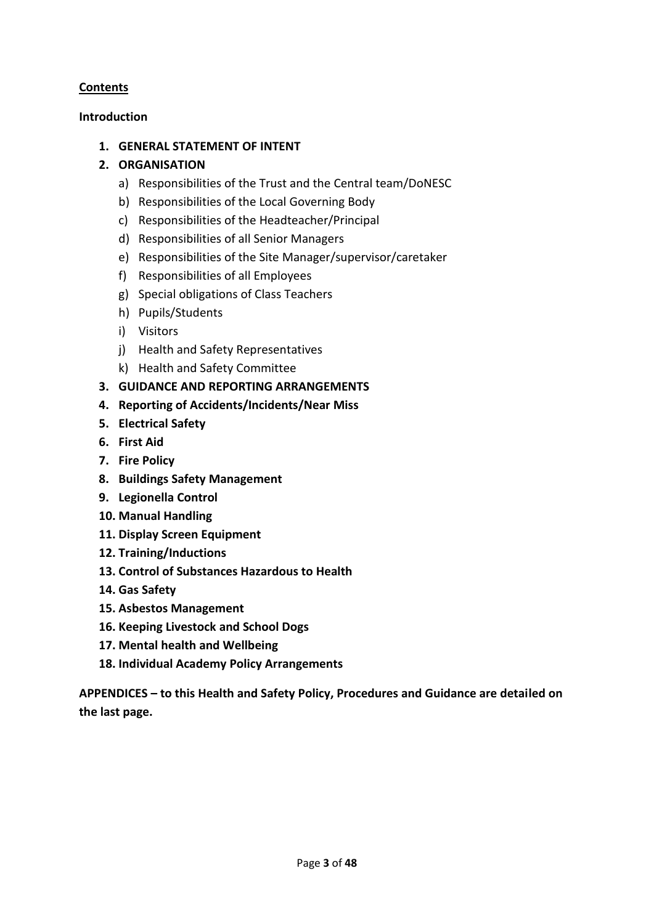## **Contents**

## **Introduction**

## **1. GENERAL STATEMENT OF INTENT**

## **2. ORGANISATION**

- a) Responsibilities of the Trust and the Central team/DoNESC
- b) Responsibilities of the Local Governing Body
- c) Responsibilities of the Headteacher/Principal
- d) Responsibilities of all Senior Managers
- e) Responsibilities of the Site Manager/supervisor/caretaker
- f) Responsibilities of all Employees
- g) Special obligations of Class Teachers
- h) Pupils/Students
- i) Visitors
- j) Health and Safety Representatives
- k) Health and Safety Committee
- **3. GUIDANCE AND REPORTING ARRANGEMENTS**
- **4. Reporting of Accidents/Incidents/Near Miss**
- **5. Electrical Safety**
- **6. First Aid**
- **7. Fire Policy**
- **8. Buildings Safety Management**
- **9. Legionella Control**
- **10. Manual Handling**
- **11. Display Screen Equipment**
- **12. Training/Inductions**
- **13. Control of Substances Hazardous to Health**
- **14. Gas Safety**
- **15. Asbestos Management**
- **16. Keeping Livestock and School Dogs**
- **17. Mental health and Wellbeing**
- **18. Individual Academy Policy Arrangements**

**APPENDICES – to this Health and Safety Policy, Procedures and Guidance are detailed on the last page.**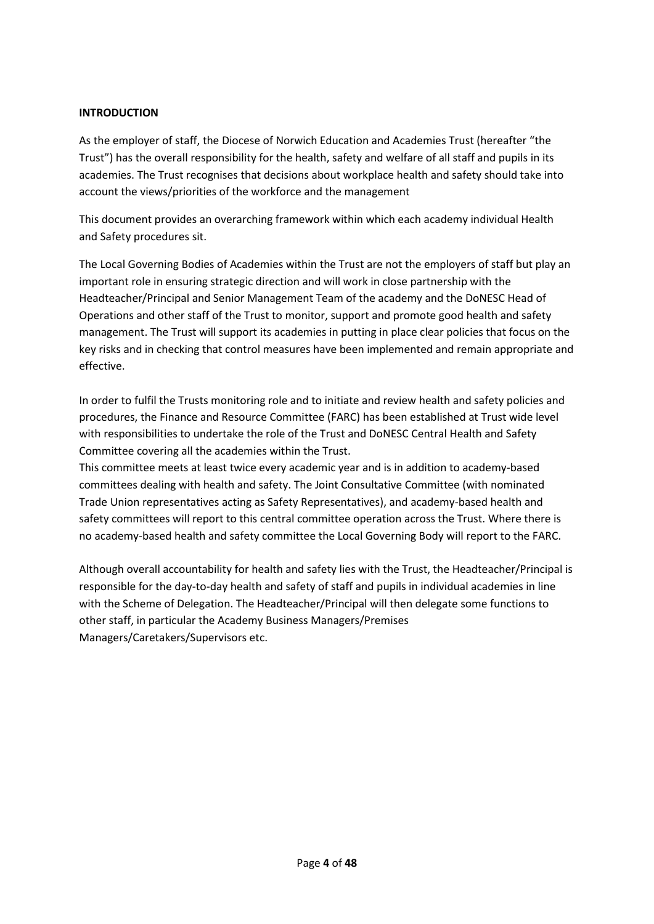#### **INTRODUCTION**

As the employer of staff, the Diocese of Norwich Education and Academies Trust (hereafter "the Trust") has the overall responsibility for the health, safety and welfare of all staff and pupils in its academies. The Trust recognises that decisions about workplace health and safety should take into account the views/priorities of the workforce and the management

This document provides an overarching framework within which each academy individual Health and Safety procedures sit.

The Local Governing Bodies of Academies within the Trust are not the employers of staff but play an important role in ensuring strategic direction and will work in close partnership with the Headteacher/Principal and Senior Management Team of the academy and the DoNESC Head of Operations and other staff of the Trust to monitor, support and promote good health and safety management. The Trust will support its academies in putting in place clear policies that focus on the key risks and in checking that control measures have been implemented and remain appropriate and effective.

In order to fulfil the Trusts monitoring role and to initiate and review health and safety policies and procedures, the Finance and Resource Committee (FARC) has been established at Trust wide level with responsibilities to undertake the role of the Trust and DoNESC Central Health and Safety Committee covering all the academies within the Trust.

This committee meets at least twice every academic year and is in addition to academy-based committees dealing with health and safety. The Joint Consultative Committee (with nominated Trade Union representatives acting as Safety Representatives), and academy-based health and safety committees will report to this central committee operation across the Trust. Where there is no academy-based health and safety committee the Local Governing Body will report to the FARC.

Although overall accountability for health and safety lies with the Trust, the Headteacher/Principal is responsible for the day-to-day health and safety of staff and pupils in individual academies in line with the Scheme of Delegation. The Headteacher/Principal will then delegate some functions to other staff, in particular the Academy Business Managers/Premises Managers/Caretakers/Supervisors etc.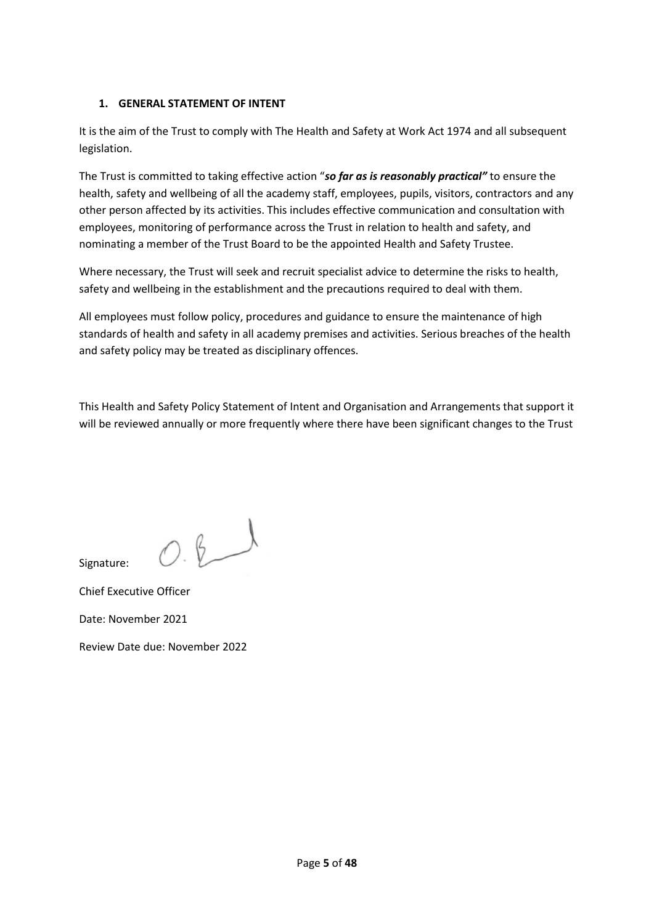## **1. GENERAL STATEMENT OF INTENT**

It is the aim of the Trust to comply with The Health and Safety at Work Act 1974 and all subsequent legislation.

The Trust is committed to taking effective action "*so far as is reasonably practical"* to ensure the health, safety and wellbeing of all the academy staff, employees, pupils, visitors, contractors and any other person affected by its activities. This includes effective communication and consultation with employees, monitoring of performance across the Trust in relation to health and safety, and nominating a member of the Trust Board to be the appointed Health and Safety Trustee.

Where necessary, the Trust will seek and recruit specialist advice to determine the risks to health, safety and wellbeing in the establishment and the precautions required to deal with them.

All employees must follow policy, procedures and guidance to ensure the maintenance of high standards of health and safety in all academy premises and activities. Serious breaches of the health and safety policy may be treated as disciplinary offences.

This Health and Safety Policy Statement of Intent and Organisation and Arrangements that support it will be reviewed annually or more frequently where there have been significant changes to the Trust

 $O.8$ Signature:

Chief Executive Officer

Date: November 2021

Review Date due: November 2022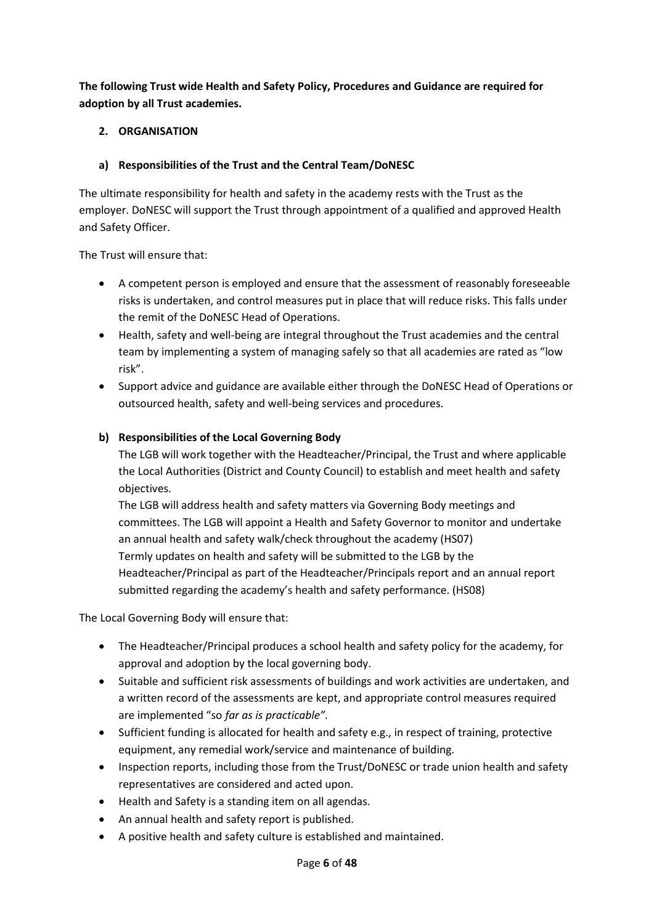**The following Trust wide Health and Safety Policy, Procedures and Guidance are required for adoption by all Trust academies.**

## **2. ORGANISATION**

## **a) Responsibilities of the Trust and the Central Team/DoNESC**

The ultimate responsibility for health and safety in the academy rests with the Trust as the employer. DoNESC will support the Trust through appointment of a qualified and approved Health and Safety Officer.

The Trust will ensure that:

- A competent person is employed and ensure that the assessment of reasonably foreseeable risks is undertaken, and control measures put in place that will reduce risks. This falls under the remit of the DoNESC Head of Operations.
- Health, safety and well-being are integral throughout the Trust academies and the central team by implementing a system of managing safely so that all academies are rated as "low risk".
- Support advice and guidance are available either through the DoNESC Head of Operations or outsourced health, safety and well-being services and procedures.

## **b) Responsibilities of the Local Governing Body**

The LGB will work together with the Headteacher/Principal, the Trust and where applicable the Local Authorities (District and County Council) to establish and meet health and safety objectives.

The LGB will address health and safety matters via Governing Body meetings and committees. The LGB will appoint a Health and Safety Governor to monitor and undertake an annual health and safety walk/check throughout the academy (HS07) Termly updates on health and safety will be submitted to the LGB by the Headteacher/Principal as part of the Headteacher/Principals report and an annual report submitted regarding the academy's health and safety performance. (HS08)

The Local Governing Body will ensure that:

- The Headteacher/Principal produces a school health and safety policy for the academy, for approval and adoption by the local governing body.
- Suitable and sufficient risk assessments of buildings and work activities are undertaken, and a written record of the assessments are kept, and appropriate control measures required are implemented "so *far as is practicable".*
- Sufficient funding is allocated for health and safety e.g., in respect of training, protective equipment, any remedial work/service and maintenance of building.
- Inspection reports, including those from the Trust/DoNESC or trade union health and safety representatives are considered and acted upon.
- Health and Safety is a standing item on all agendas.
- An annual health and safety report is published.
- A positive health and safety culture is established and maintained.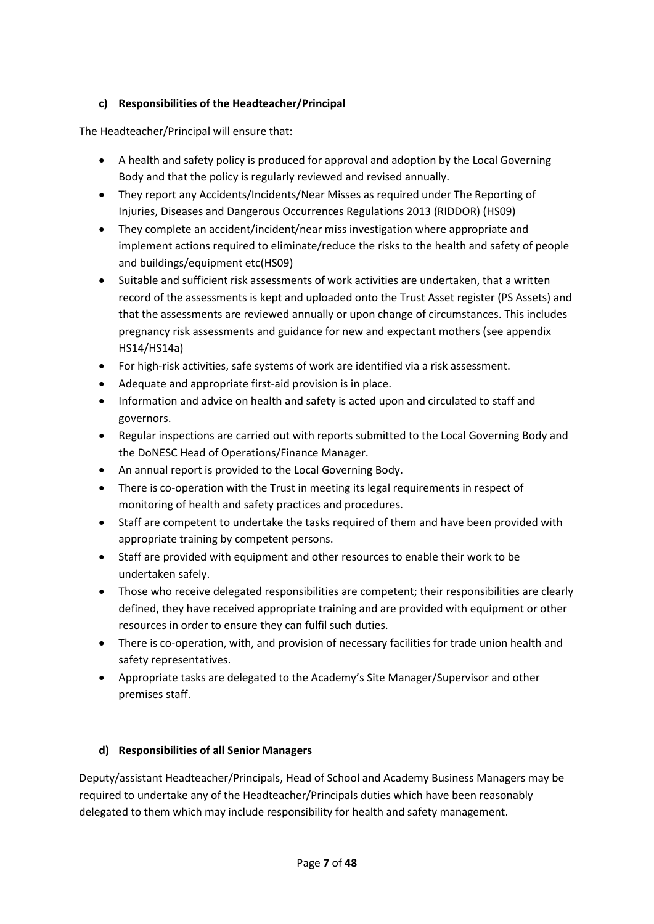## **c) Responsibilities of the Headteacher/Principal**

The Headteacher/Principal will ensure that:

- A health and safety policy is produced for approval and adoption by the Local Governing Body and that the policy is regularly reviewed and revised annually.
- They report any Accidents/Incidents/Near Misses as required under The Reporting of Injuries, Diseases and Dangerous Occurrences Regulations 2013 (RIDDOR) (HS09)
- They complete an accident/incident/near miss investigation where appropriate and implement actions required to eliminate/reduce the risks to the health and safety of people and buildings/equipment etc(HS09)
- Suitable and sufficient risk assessments of work activities are undertaken, that a written record of the assessments is kept and uploaded onto the Trust Asset register (PS Assets) and that the assessments are reviewed annually or upon change of circumstances. This includes pregnancy risk assessments and guidance for new and expectant mothers (see appendix HS14/HS14a)
- For high-risk activities, safe systems of work are identified via a risk assessment.
- Adequate and appropriate first-aid provision is in place.
- Information and advice on health and safety is acted upon and circulated to staff and governors.
- Regular inspections are carried out with reports submitted to the Local Governing Body and the DoNESC Head of Operations/Finance Manager.
- An annual report is provided to the Local Governing Body.
- There is co-operation with the Trust in meeting its legal requirements in respect of monitoring of health and safety practices and procedures.
- Staff are competent to undertake the tasks required of them and have been provided with appropriate training by competent persons.
- Staff are provided with equipment and other resources to enable their work to be undertaken safely.
- Those who receive delegated responsibilities are competent; their responsibilities are clearly defined, they have received appropriate training and are provided with equipment or other resources in order to ensure they can fulfil such duties.
- There is co-operation, with, and provision of necessary facilities for trade union health and safety representatives.
- Appropriate tasks are delegated to the Academy's Site Manager/Supervisor and other premises staff.

## **d) Responsibilities of all Senior Managers**

Deputy/assistant Headteacher/Principals, Head of School and Academy Business Managers may be required to undertake any of the Headteacher/Principals duties which have been reasonably delegated to them which may include responsibility for health and safety management.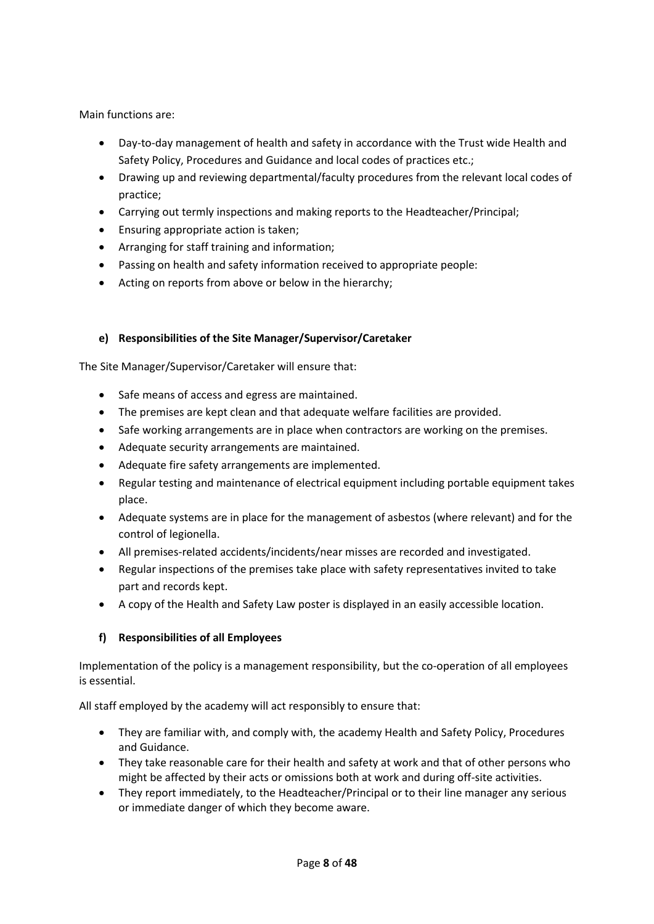Main functions are:

- Day-to-day management of health and safety in accordance with the Trust wide Health and Safety Policy, Procedures and Guidance and local codes of practices etc.;
- Drawing up and reviewing departmental/faculty procedures from the relevant local codes of practice;
- Carrying out termly inspections and making reports to the Headteacher/Principal;
- Ensuring appropriate action is taken;
- Arranging for staff training and information;
- Passing on health and safety information received to appropriate people:
- Acting on reports from above or below in the hierarchy;

## **e) Responsibilities of the Site Manager/Supervisor/Caretaker**

The Site Manager/Supervisor/Caretaker will ensure that:

- Safe means of access and egress are maintained.
- The premises are kept clean and that adequate welfare facilities are provided.
- Safe working arrangements are in place when contractors are working on the premises.
- Adequate security arrangements are maintained.
- Adequate fire safety arrangements are implemented.
- Regular testing and maintenance of electrical equipment including portable equipment takes place.
- Adequate systems are in place for the management of asbestos (where relevant) and for the control of legionella.
- All premises-related accidents/incidents/near misses are recorded and investigated.
- Regular inspections of the premises take place with safety representatives invited to take part and records kept.
- A copy of the Health and Safety Law poster is displayed in an easily accessible location.

## **f) Responsibilities of all Employees**

Implementation of the policy is a management responsibility, but the co-operation of all employees is essential.

All staff employed by the academy will act responsibly to ensure that:

- They are familiar with, and comply with, the academy Health and Safety Policy, Procedures and Guidance.
- They take reasonable care for their health and safety at work and that of other persons who might be affected by their acts or omissions both at work and during off-site activities.
- They report immediately, to the Headteacher/Principal or to their line manager any serious or immediate danger of which they become aware.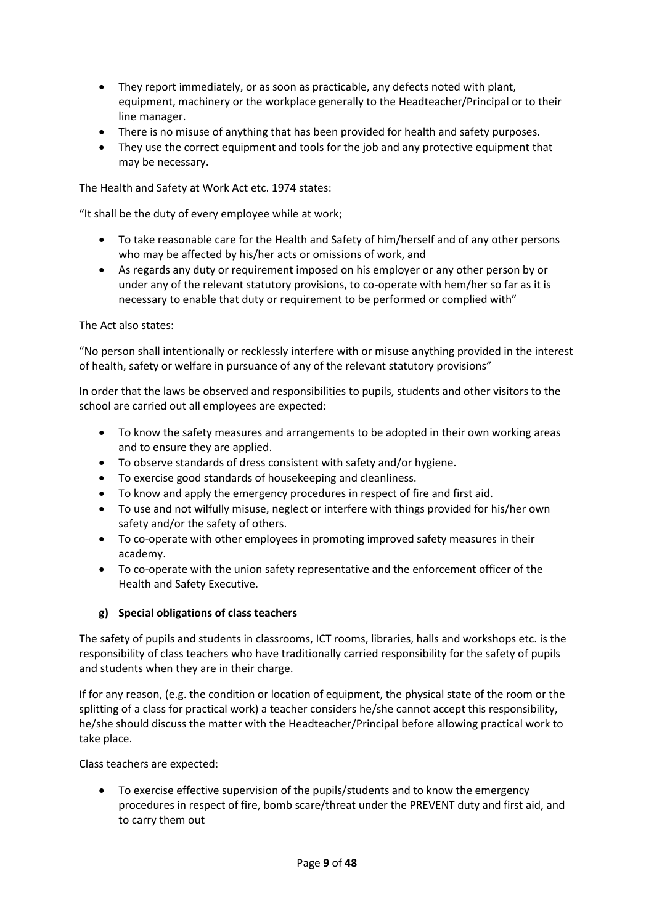- They report immediately, or as soon as practicable, any defects noted with plant, equipment, machinery or the workplace generally to the Headteacher/Principal or to their line manager.
- There is no misuse of anything that has been provided for health and safety purposes.
- They use the correct equipment and tools for the job and any protective equipment that may be necessary.

The Health and Safety at Work Act etc. 1974 states:

"It shall be the duty of every employee while at work;

- To take reasonable care for the Health and Safety of him/herself and of any other persons who may be affected by his/her acts or omissions of work, and
- As regards any duty or requirement imposed on his employer or any other person by or under any of the relevant statutory provisions, to co-operate with hem/her so far as it is necessary to enable that duty or requirement to be performed or complied with"

#### The Act also states:

"No person shall intentionally or recklessly interfere with or misuse anything provided in the interest of health, safety or welfare in pursuance of any of the relevant statutory provisions"

In order that the laws be observed and responsibilities to pupils, students and other visitors to the school are carried out all employees are expected:

- To know the safety measures and arrangements to be adopted in their own working areas and to ensure they are applied.
- To observe standards of dress consistent with safety and/or hygiene.
- To exercise good standards of housekeeping and cleanliness.
- To know and apply the emergency procedures in respect of fire and first aid.
- To use and not wilfully misuse, neglect or interfere with things provided for his/her own safety and/or the safety of others.
- To co-operate with other employees in promoting improved safety measures in their academy.
- To co-operate with the union safety representative and the enforcement officer of the Health and Safety Executive.

## **g) Special obligations of class teachers**

The safety of pupils and students in classrooms, ICT rooms, libraries, halls and workshops etc. is the responsibility of class teachers who have traditionally carried responsibility for the safety of pupils and students when they are in their charge.

If for any reason, (e.g. the condition or location of equipment, the physical state of the room or the splitting of a class for practical work) a teacher considers he/she cannot accept this responsibility, he/she should discuss the matter with the Headteacher/Principal before allowing practical work to take place.

Class teachers are expected:

 To exercise effective supervision of the pupils/students and to know the emergency procedures in respect of fire, bomb scare/threat under the PREVENT duty and first aid, and to carry them out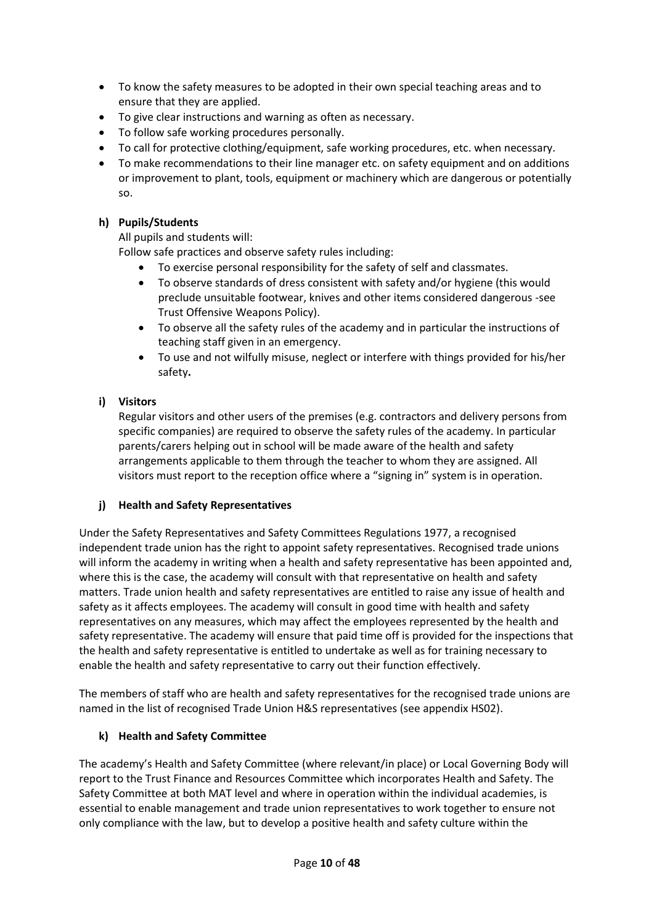- To know the safety measures to be adopted in their own special teaching areas and to ensure that they are applied.
- To give clear instructions and warning as often as necessary.
- To follow safe working procedures personally.
- To call for protective clothing/equipment, safe working procedures, etc. when necessary.
- To make recommendations to their line manager etc. on safety equipment and on additions or improvement to plant, tools, equipment or machinery which are dangerous or potentially so.

## **h) Pupils/Students**

All pupils and students will:

Follow safe practices and observe safety rules including:

- To exercise personal responsibility for the safety of self and classmates.
- To observe standards of dress consistent with safety and/or hygiene (this would preclude unsuitable footwear, knives and other items considered dangerous -see Trust Offensive Weapons Policy).
- To observe all the safety rules of the academy and in particular the instructions of teaching staff given in an emergency.
- To use and not wilfully misuse, neglect or interfere with things provided for his/her safety**.**
- **i) Visitors**

Regular visitors and other users of the premises (e.g. contractors and delivery persons from specific companies) are required to observe the safety rules of the academy. In particular parents/carers helping out in school will be made aware of the health and safety arrangements applicable to them through the teacher to whom they are assigned. All visitors must report to the reception office where a "signing in" system is in operation.

## **j) Health and Safety Representatives**

Under the Safety Representatives and Safety Committees Regulations 1977, a recognised independent trade union has the right to appoint safety representatives. Recognised trade unions will inform the academy in writing when a health and safety representative has been appointed and, where this is the case, the academy will consult with that representative on health and safety matters. Trade union health and safety representatives are entitled to raise any issue of health and safety as it affects employees. The academy will consult in good time with health and safety representatives on any measures, which may affect the employees represented by the health and safety representative. The academy will ensure that paid time off is provided for the inspections that the health and safety representative is entitled to undertake as well as for training necessary to enable the health and safety representative to carry out their function effectively.

The members of staff who are health and safety representatives for the recognised trade unions are named in the list of recognised Trade Union H&S representatives (see appendix HS02).

## **k) Health and Safety Committee**

The academy's Health and Safety Committee (where relevant/in place) or Local Governing Body will report to the Trust Finance and Resources Committee which incorporates Health and Safety. The Safety Committee at both MAT level and where in operation within the individual academies, is essential to enable management and trade union representatives to work together to ensure not only compliance with the law, but to develop a positive health and safety culture within the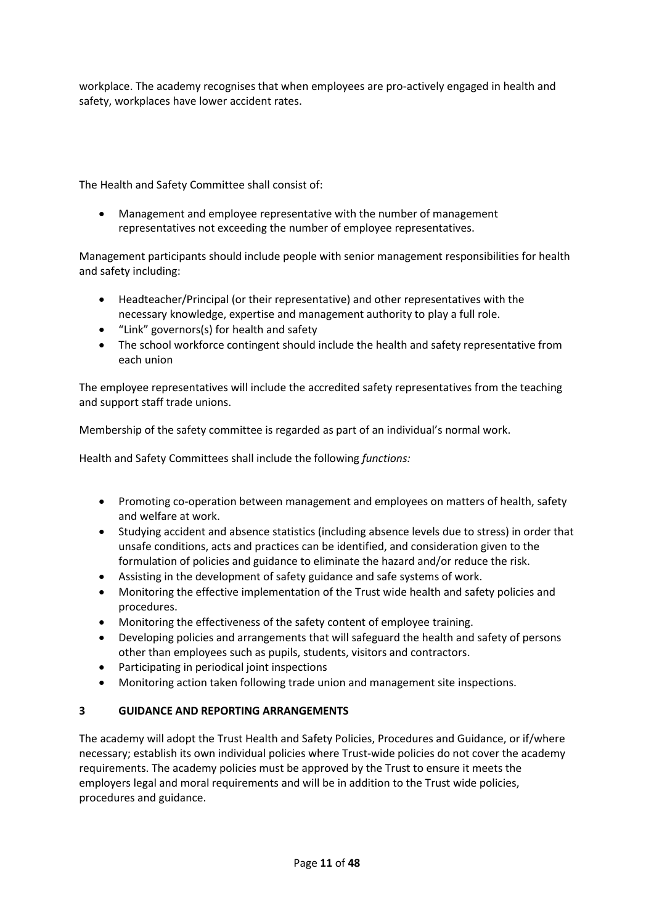workplace. The academy recognises that when employees are pro-actively engaged in health and safety, workplaces have lower accident rates.

The Health and Safety Committee shall consist of:

 Management and employee representative with the number of management representatives not exceeding the number of employee representatives.

Management participants should include people with senior management responsibilities for health and safety including:

- Headteacher/Principal (or their representative) and other representatives with the necessary knowledge, expertise and management authority to play a full role.
- "Link" governors(s) for health and safety
- The school workforce contingent should include the health and safety representative from each union

The employee representatives will include the accredited safety representatives from the teaching and support staff trade unions.

Membership of the safety committee is regarded as part of an individual's normal work.

Health and Safety Committees shall include the following *functions:*

- Promoting co-operation between management and employees on matters of health, safety and welfare at work.
- Studying accident and absence statistics (including absence levels due to stress) in order that unsafe conditions, acts and practices can be identified, and consideration given to the formulation of policies and guidance to eliminate the hazard and/or reduce the risk.
- Assisting in the development of safety guidance and safe systems of work.
- Monitoring the effective implementation of the Trust wide health and safety policies and procedures.
- Monitoring the effectiveness of the safety content of employee training.
- Developing policies and arrangements that will safeguard the health and safety of persons other than employees such as pupils, students, visitors and contractors.
- Participating in periodical joint inspections
- Monitoring action taken following trade union and management site inspections.

## **3 GUIDANCE AND REPORTING ARRANGEMENTS**

The academy will adopt the Trust Health and Safety Policies, Procedures and Guidance, or if/where necessary; establish its own individual policies where Trust-wide policies do not cover the academy requirements. The academy policies must be approved by the Trust to ensure it meets the employers legal and moral requirements and will be in addition to the Trust wide policies, procedures and guidance.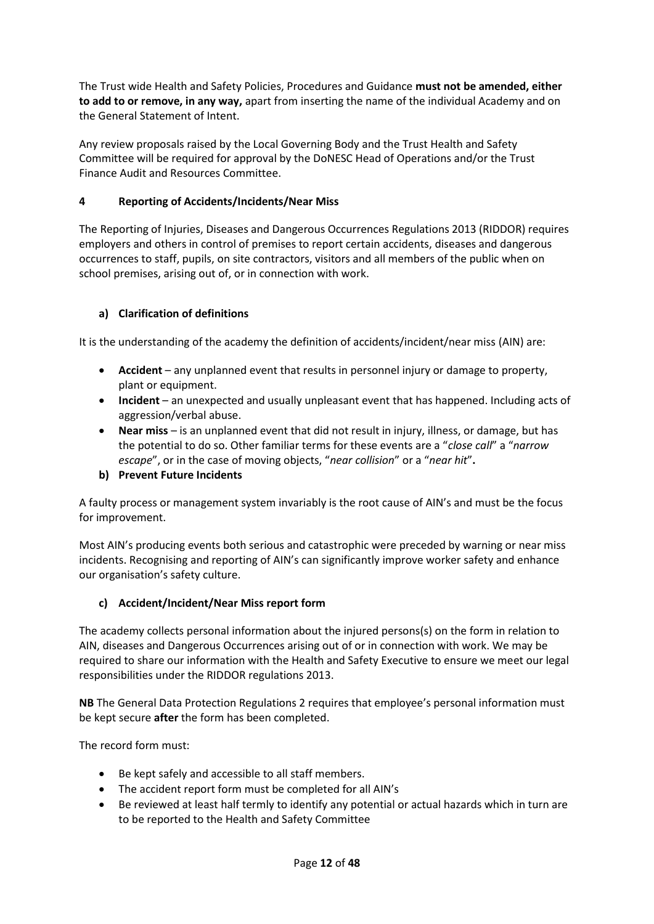The Trust wide Health and Safety Policies, Procedures and Guidance **must not be amended, either to add to or remove, in any way,** apart from inserting the name of the individual Academy and on the General Statement of Intent.

Any review proposals raised by the Local Governing Body and the Trust Health and Safety Committee will be required for approval by the DoNESC Head of Operations and/or the Trust Finance Audit and Resources Committee.

## **4 Reporting of Accidents/Incidents/Near Miss**

The Reporting of Injuries, Diseases and Dangerous Occurrences Regulations 2013 (RIDDOR) requires employers and others in control of premises to report certain accidents, diseases and dangerous occurrences to staff, pupils, on site contractors, visitors and all members of the public when on school premises, arising out of, or in connection with work.

## **a) Clarification of definitions**

It is the understanding of the academy the definition of accidents/incident/near miss (AIN) are:

- **Accident** any unplanned event that results in personnel injury or damage to property, plant or equipment.
- **Incident** an unexpected and usually unpleasant event that has happened. Including acts of aggression/verbal abuse.
- **Near miss** is an unplanned event that did not result in injury, illness, or damage, but has the potential to do so. Other familiar terms for these events are a "*close call*" a "*narrow escape*", or in the case of moving objects, "*near collision*" or a "*near hit*"**.**

## **b) Prevent Future Incidents**

A faulty process or management system invariably is the root cause of AIN's and must be the focus for improvement.

Most AIN's producing events both serious and catastrophic were preceded by warning or near miss incidents. Recognising and reporting of AIN's can significantly improve worker safety and enhance our organisation's safety culture.

## **c) Accident/Incident/Near Miss report form**

The academy collects personal information about the injured persons(s) on the form in relation to AIN, diseases and Dangerous Occurrences arising out of or in connection with work. We may be required to share our information with the Health and Safety Executive to ensure we meet our legal responsibilities under the RIDDOR regulations 2013.

**NB** The General Data Protection Regulations 2 requires that employee's personal information must be kept secure **after** the form has been completed.

The record form must:

- Be kept safely and accessible to all staff members.
- The accident report form must be completed for all AIN's
- Be reviewed at least half termly to identify any potential or actual hazards which in turn are to be reported to the Health and Safety Committee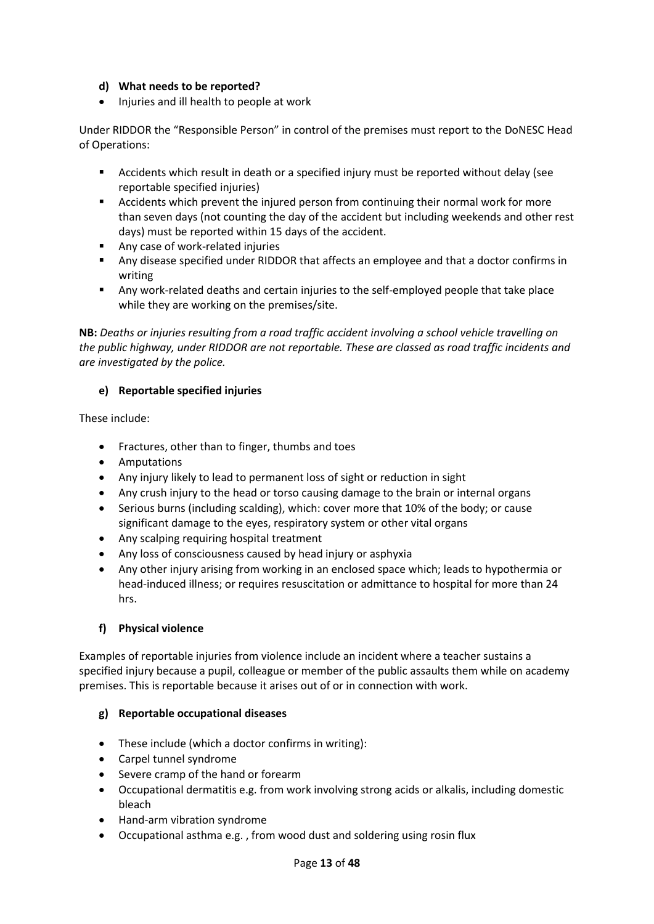## **d) What needs to be reported?**

• Injuries and ill health to people at work

Under RIDDOR the "Responsible Person" in control of the premises must report to the DoNESC Head of Operations:

- Accidents which result in death or a specified injury must be reported without delay (see reportable specified injuries)
- Accidents which prevent the injured person from continuing their normal work for more than seven days (not counting the day of the accident but including weekends and other rest days) must be reported within 15 days of the accident.
- **Any case of work-related injuries**
- Any disease specified under RIDDOR that affects an employee and that a doctor confirms in writing
- Any work-related deaths and certain injuries to the self-employed people that take place while they are working on the premises/site.

**NB:** *Deaths or injuries resulting from a road traffic accident involving a school vehicle travelling on the public highway, under RIDDOR are not reportable. These are classed as road traffic incidents and are investigated by the police.*

## **e) Reportable specified injuries**

These include:

- Fractures, other than to finger, thumbs and toes
- Amputations
- Any injury likely to lead to permanent loss of sight or reduction in sight
- Any crush injury to the head or torso causing damage to the brain or internal organs
- Serious burns (including scalding), which: cover more that 10% of the body; or cause significant damage to the eyes, respiratory system or other vital organs
- Any scalping requiring hospital treatment
- Any loss of consciousness caused by head injury or asphyxia
- Any other injury arising from working in an enclosed space which; leads to hypothermia or head-induced illness; or requires resuscitation or admittance to hospital for more than 24 hrs.

## **f) Physical violence**

Examples of reportable injuries from violence include an incident where a teacher sustains a specified injury because a pupil, colleague or member of the public assaults them while on academy premises. This is reportable because it arises out of or in connection with work.

## **g) Reportable occupational diseases**

- These include (which a doctor confirms in writing):
- Carpel tunnel syndrome
- Severe cramp of the hand or forearm
- Occupational dermatitis e.g. from work involving strong acids or alkalis, including domestic bleach
- Hand-arm vibration syndrome
- Occupational asthma e.g. , from wood dust and soldering using rosin flux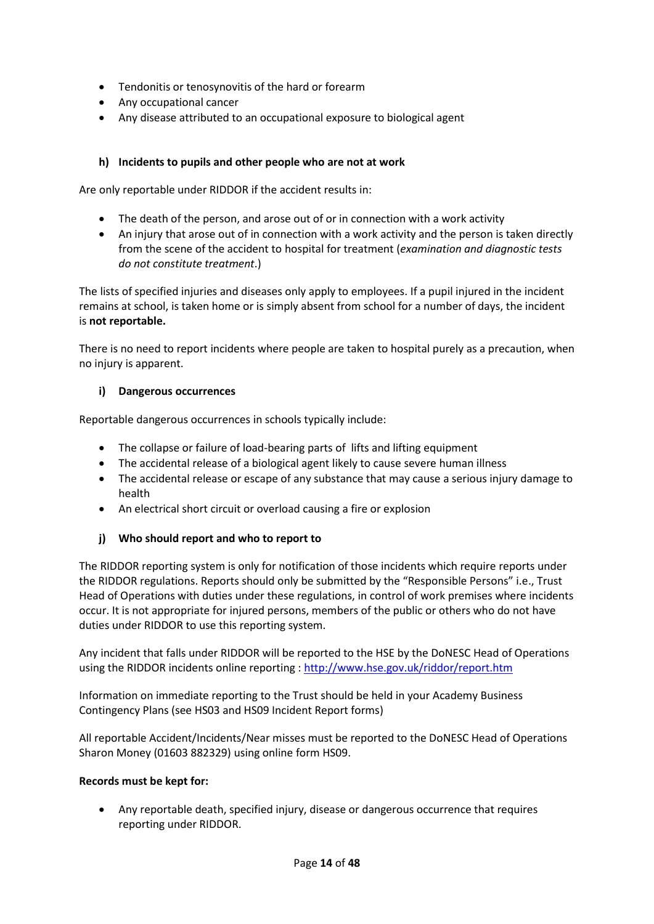- Tendonitis or tenosynovitis of the hard or forearm
- Any occupational cancer
- Any disease attributed to an occupational exposure to biological agent

#### **h) Incidents to pupils and other people who are not at work**

Are only reportable under RIDDOR if the accident results in:

- The death of the person, and arose out of or in connection with a work activity
- An injury that arose out of in connection with a work activity and the person is taken directly from the scene of the accident to hospital for treatment (*examination and diagnostic tests do not constitute treatment*.)

The lists of specified injuries and diseases only apply to employees. If a pupil injured in the incident remains at school, is taken home or is simply absent from school for a number of days, the incident is **not reportable.**

There is no need to report incidents where people are taken to hospital purely as a precaution, when no injury is apparent.

#### **i) Dangerous occurrences**

Reportable dangerous occurrences in schools typically include:

- The collapse or failure of load-bearing parts of lifts and lifting equipment
- The accidental release of a biological agent likely to cause severe human illness
- The accidental release or escape of any substance that may cause a serious injury damage to health
- An electrical short circuit or overload causing a fire or explosion

## **j) Who should report and who to report to**

The RIDDOR reporting system is only for notification of those incidents which require reports under the RIDDOR regulations. Reports should only be submitted by the "Responsible Persons" i.e., Trust Head of Operations with duties under these regulations, in control of work premises where incidents occur. It is not appropriate for injured persons, members of the public or others who do not have duties under RIDDOR to use this reporting system.

Any incident that falls under RIDDOR will be reported to the HSE by the DoNESC Head of Operations using the RIDDOR incidents online reporting [: http://www.hse.gov.uk/riddor/report.htm](http://www.hse.gov.uk/riddor/report.htm)

Information on immediate reporting to the Trust should be held in your Academy Business Contingency Plans (see HS03 and HS09 Incident Report forms)

All reportable Accident/Incidents/Near misses must be reported to the DoNESC Head of Operations Sharon Money (01603 882329) using online form HS09.

#### **Records must be kept for:**

 Any reportable death, specified injury, disease or dangerous occurrence that requires reporting under RIDDOR.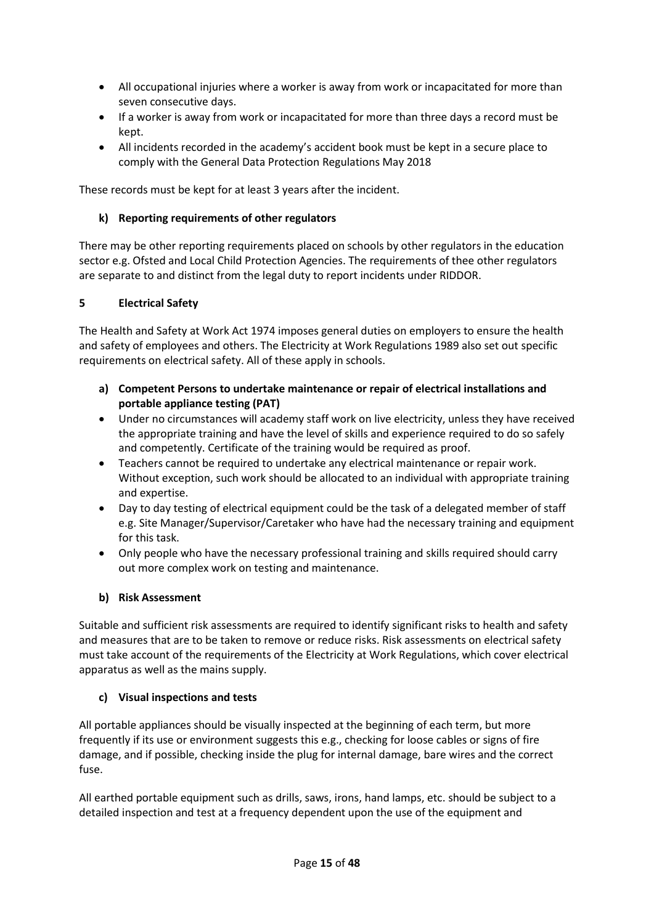- All occupational injuries where a worker is away from work or incapacitated for more than seven consecutive days.
- If a worker is away from work or incapacitated for more than three days a record must be kept.
- All incidents recorded in the academy's accident book must be kept in a secure place to comply with the General Data Protection Regulations May 2018

These records must be kept for at least 3 years after the incident.

## **k) Reporting requirements of other regulators**

There may be other reporting requirements placed on schools by other regulators in the education sector e.g. Ofsted and Local Child Protection Agencies. The requirements of thee other regulators are separate to and distinct from the legal duty to report incidents under RIDDOR.

## **5 Electrical Safety**

The Health and Safety at Work Act 1974 imposes general duties on employers to ensure the health and safety of employees and others. The Electricity at Work Regulations 1989 also set out specific requirements on electrical safety. All of these apply in schools.

- **a) Competent Persons to undertake maintenance or repair of electrical installations and portable appliance testing (PAT)**
- Under no circumstances will academy staff work on live electricity, unless they have received the appropriate training and have the level of skills and experience required to do so safely and competently. Certificate of the training would be required as proof.
- Teachers cannot be required to undertake any electrical maintenance or repair work. Without exception, such work should be allocated to an individual with appropriate training and expertise.
- Day to day testing of electrical equipment could be the task of a delegated member of staff e.g. Site Manager/Supervisor/Caretaker who have had the necessary training and equipment for this task.
- Only people who have the necessary professional training and skills required should carry out more complex work on testing and maintenance.

## **b) Risk Assessment**

Suitable and sufficient risk assessments are required to identify significant risks to health and safety and measures that are to be taken to remove or reduce risks. Risk assessments on electrical safety must take account of the requirements of the Electricity at Work Regulations, which cover electrical apparatus as well as the mains supply.

## **c) Visual inspections and tests**

All portable appliances should be visually inspected at the beginning of each term, but more frequently if its use or environment suggests this e.g., checking for loose cables or signs of fire damage, and if possible, checking inside the plug for internal damage, bare wires and the correct fuse.

All earthed portable equipment such as drills, saws, irons, hand lamps, etc. should be subject to a detailed inspection and test at a frequency dependent upon the use of the equipment and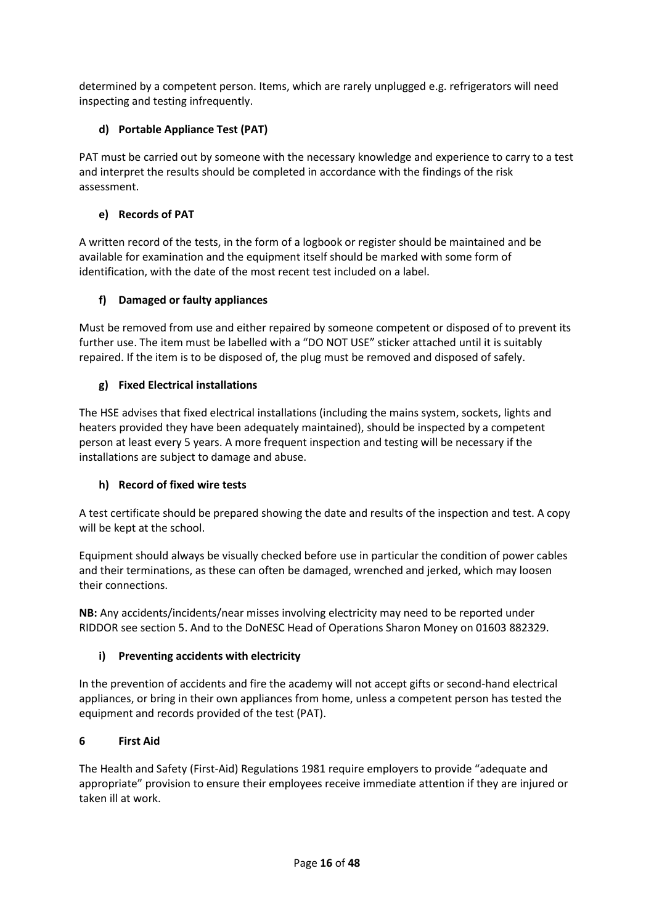determined by a competent person. Items, which are rarely unplugged e.g. refrigerators will need inspecting and testing infrequently.

## **d) Portable Appliance Test (PAT)**

PAT must be carried out by someone with the necessary knowledge and experience to carry to a test and interpret the results should be completed in accordance with the findings of the risk assessment.

## **e) Records of PAT**

A written record of the tests, in the form of a logbook or register should be maintained and be available for examination and the equipment itself should be marked with some form of identification, with the date of the most recent test included on a label.

## **f) Damaged or faulty appliances**

Must be removed from use and either repaired by someone competent or disposed of to prevent its further use. The item must be labelled with a "DO NOT USE" sticker attached until it is suitably repaired. If the item is to be disposed of, the plug must be removed and disposed of safely.

## **g) Fixed Electrical installations**

The HSE advises that fixed electrical installations (including the mains system, sockets, lights and heaters provided they have been adequately maintained), should be inspected by a competent person at least every 5 years. A more frequent inspection and testing will be necessary if the installations are subject to damage and abuse.

## **h) Record of fixed wire tests**

A test certificate should be prepared showing the date and results of the inspection and test. A copy will be kept at the school.

Equipment should always be visually checked before use in particular the condition of power cables and their terminations, as these can often be damaged, wrenched and jerked, which may loosen their connections.

**NB:** Any accidents/incidents/near misses involving electricity may need to be reported under RIDDOR see section 5. And to the DoNESC Head of Operations Sharon Money on 01603 882329.

## **i) Preventing accidents with electricity**

In the prevention of accidents and fire the academy will not accept gifts or second-hand electrical appliances, or bring in their own appliances from home, unless a competent person has tested the equipment and records provided of the test (PAT).

## **6 First Aid**

The Health and Safety (First-Aid) Regulations 1981 require employers to provide "adequate and appropriate" provision to ensure their employees receive immediate attention if they are injured or taken ill at work.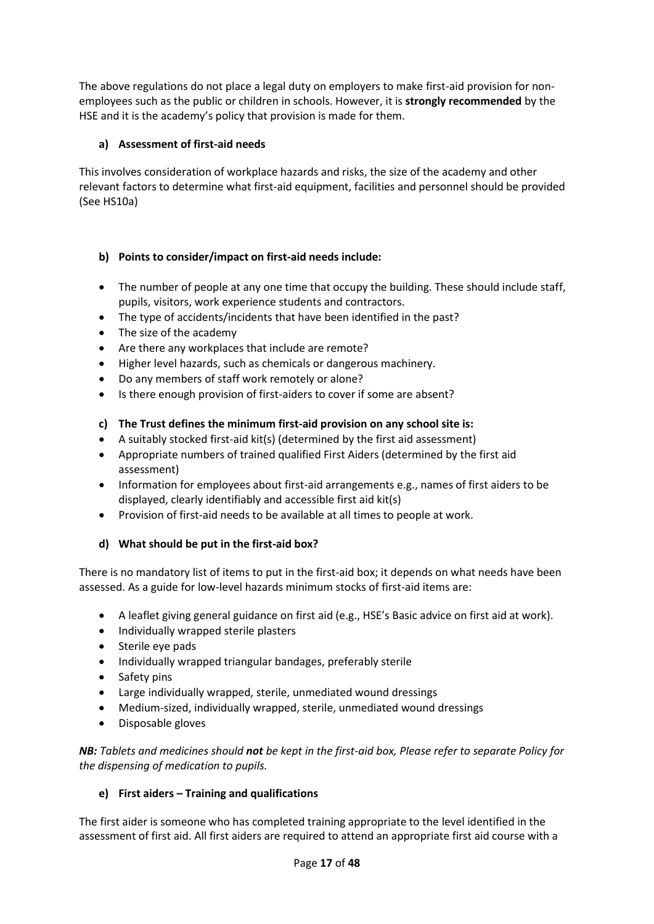The above regulations do not place a legal duty on employers to make first-aid provision for nonemployees such as the public or children in schools. However, it is **strongly recommended** by the HSE and it is the academy's policy that provision is made for them.

## **a) Assessment of first-aid needs**

This involves consideration of workplace hazards and risks, the size of the academy and other relevant factors to determine what first-aid equipment, facilities and personnel should be provided (See HS10a)

## **b) Points to consider/impact on first-aid needs include:**

- The number of people at any one time that occupy the building. These should include staff, pupils, visitors, work experience students and contractors.
- The type of accidents/incidents that have been identified in the past?
- The size of the academy
- Are there any workplaces that include are remote?
- Higher level hazards, such as chemicals or dangerous machinery.
- Do any members of staff work remotely or alone?
- Is there enough provision of first-aiders to cover if some are absent?

## **c) The Trust defines the minimum first-aid provision on any school site is:**

- A suitably stocked first-aid kit(s) (determined by the first aid assessment)
- Appropriate numbers of trained qualified First Aiders (determined by the first aid assessment)
- Information for employees about first-aid arrangements e.g., names of first aiders to be displayed, clearly identifiably and accessible first aid kit(s)
- Provision of first-aid needs to be available at all times to people at work.

## **d) What should be put in the first-aid box?**

There is no mandatory list of items to put in the first-aid box; it depends on what needs have been assessed. As a guide for low-level hazards minimum stocks of first-aid items are:

- A leaflet giving general guidance on first aid (e.g., HSE's Basic advice on first aid at work).
- Individually wrapped sterile plasters
- Sterile eye pads
- Individually wrapped triangular bandages, preferably sterile
- Safety pins
- Large individually wrapped, sterile, unmediated wound dressings
- Medium-sized, individually wrapped, sterile, unmediated wound dressings
- Disposable gloves

*NB: Tablets and medicines should not be kept in the first-aid box, Please refer to separate Policy for the dispensing of medication to pupils.*

## **e) First aiders – Training and qualifications**

The first aider is someone who has completed training appropriate to the level identified in the assessment of first aid. All first aiders are required to attend an appropriate first aid course with a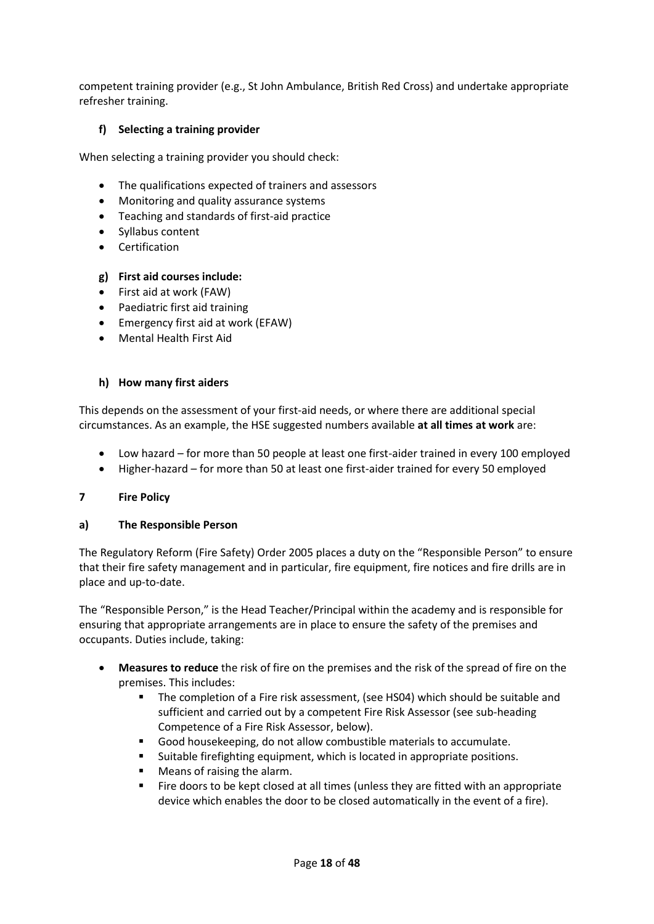competent training provider (e.g., St John Ambulance, British Red Cross) and undertake appropriate refresher training.

## **f) Selecting a training provider**

When selecting a training provider you should check:

- The qualifications expected of trainers and assessors
- Monitoring and quality assurance systems
- Teaching and standards of first-aid practice
- Syllabus content
- **•** Certification

## **g) First aid courses include:**

- First aid at work (FAW)
- Paediatric first aid training
- Emergency first aid at work (EFAW)
- Mental Health First Aid

#### **h) How many first aiders**

This depends on the assessment of your first-aid needs, or where there are additional special circumstances. As an example, the HSE suggested numbers available **at all times at work** are:

- Low hazard for more than 50 people at least one first-aider trained in every 100 employed
- Higher-hazard for more than 50 at least one first-aider trained for every 50 employed

## **7 Fire Policy**

## **a) The Responsible Person**

The Regulatory Reform (Fire Safety) Order 2005 places a duty on the "Responsible Person" to ensure that their fire safety management and in particular, fire equipment, fire notices and fire drills are in place and up-to-date.

The "Responsible Person," is the Head Teacher/Principal within the academy and is responsible for ensuring that appropriate arrangements are in place to ensure the safety of the premises and occupants. Duties include, taking:

- **Measures to reduce** the risk of fire on the premises and the risk of the spread of fire on the premises. This includes:
	- The completion of a Fire risk assessment, (see HS04) which should be suitable and sufficient and carried out by a competent Fire Risk Assessor (see sub-heading Competence of a Fire Risk Assessor, below).
	- Good housekeeping, do not allow combustible materials to accumulate.
	- Suitable firefighting equipment, which is located in appropriate positions.
	- Means of raising the alarm.
	- Fire doors to be kept closed at all times (unless they are fitted with an appropriate device which enables the door to be closed automatically in the event of a fire).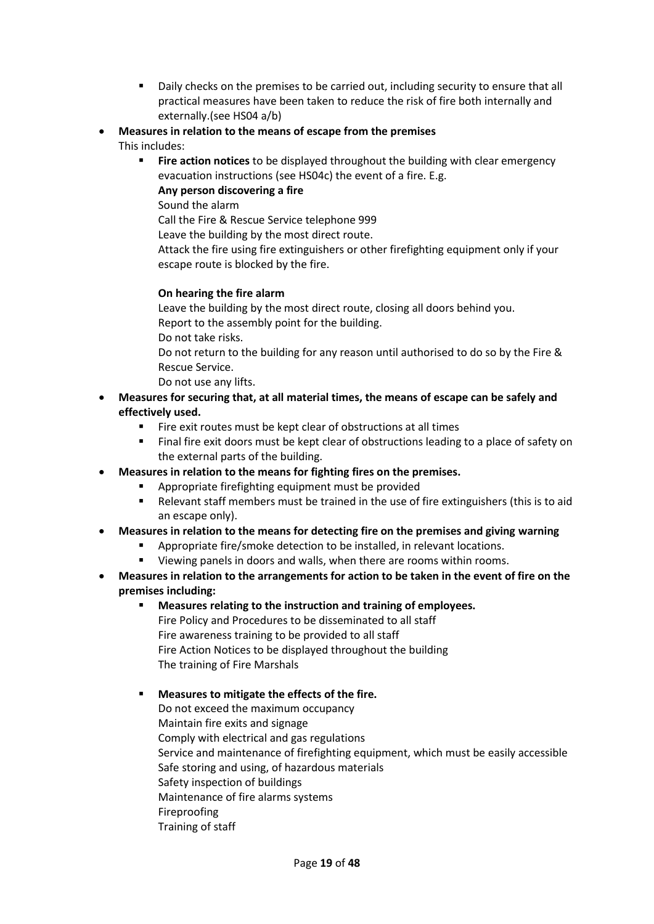- Daily checks on the premises to be carried out, including security to ensure that all practical measures have been taken to reduce the risk of fire both internally and externally.(see HS04 a/b)
- **Measures in relation to the means of escape from the premises** This includes:
	- **Fire action notices** to be displayed throughout the building with clear emergency evacuation instructions (see HS04c) the event of a fire. E.g.
		- **Any person discovering a fire**
		- Sound the alarm

Call the Fire & Rescue Service telephone 999

Leave the building by the most direct route.

Attack the fire using fire extinguishers or other firefighting equipment only if your escape route is blocked by the fire.

## **On hearing the fire alarm**

Leave the building by the most direct route, closing all doors behind you. Report to the assembly point for the building.

Do not take risks.

Do not return to the building for any reason until authorised to do so by the Fire & Rescue Service.

- Do not use any lifts.
- **Measures for securing that, at all material times, the means of escape can be safely and effectively used.**
	- Fire exit routes must be kept clear of obstructions at all times
	- Final fire exit doors must be kept clear of obstructions leading to a place of safety on the external parts of the building.

## **Measures in relation to the means for fighting fires on the premises.**

- Appropriate firefighting equipment must be provided
- Relevant staff members must be trained in the use of fire extinguishers (this is to aid an escape only).

## **Measures in relation to the means for detecting fire on the premises and giving warning**

- Appropriate fire/smoke detection to be installed, in relevant locations.
- Viewing panels in doors and walls, when there are rooms within rooms.
- **Measures in relation to the arrangements for action to be taken in the event of fire on the premises including:**
	- **Measures relating to the instruction and training of employees.** Fire Policy and Procedures to be disseminated to all staff Fire awareness training to be provided to all staff Fire Action Notices to be displayed throughout the building The training of Fire Marshals

## **Measures to mitigate the effects of the fire.**

Do not exceed the maximum occupancy Maintain fire exits and signage Comply with electrical and gas regulations Service and maintenance of firefighting equipment, which must be easily accessible Safe storing and using, of hazardous materials Safety inspection of buildings Maintenance of fire alarms systems Fireproofing Training of staff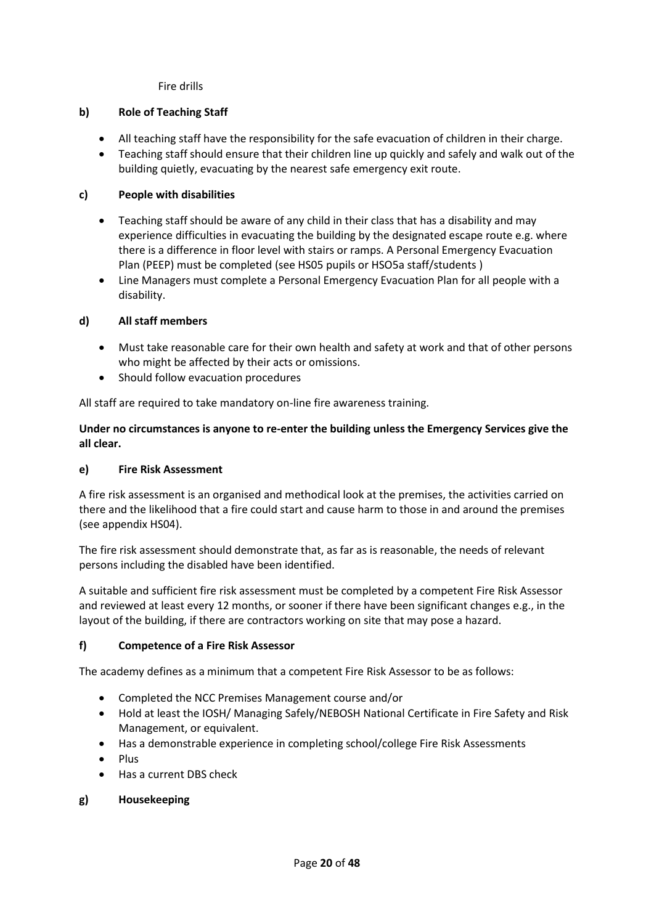Fire drills

## **b) Role of Teaching Staff**

- All teaching staff have the responsibility for the safe evacuation of children in their charge.
- Teaching staff should ensure that their children line up quickly and safely and walk out of the building quietly, evacuating by the nearest safe emergency exit route.

## **c) People with disabilities**

- Teaching staff should be aware of any child in their class that has a disability and may experience difficulties in evacuating the building by the designated escape route e.g. where there is a difference in floor level with stairs or ramps. A Personal Emergency Evacuation Plan (PEEP) must be completed (see HS05 pupils or HSO5a staff/students )
- Line Managers must complete a Personal Emergency Evacuation Plan for all people with a disability.

## **d) All staff members**

- Must take reasonable care for their own health and safety at work and that of other persons who might be affected by their acts or omissions.
- Should follow evacuation procedures

All staff are required to take mandatory on-line fire awareness training.

**Under no circumstances is anyone to re-enter the building unless the Emergency Services give the all clear.**

## **e) Fire Risk Assessment**

A fire risk assessment is an organised and methodical look at the premises, the activities carried on there and the likelihood that a fire could start and cause harm to those in and around the premises (see appendix HS04).

The fire risk assessment should demonstrate that, as far as is reasonable, the needs of relevant persons including the disabled have been identified.

A suitable and sufficient fire risk assessment must be completed by a competent Fire Risk Assessor and reviewed at least every 12 months, or sooner if there have been significant changes e.g., in the layout of the building, if there are contractors working on site that may pose a hazard.

## **f) Competence of a Fire Risk Assessor**

The academy defines as a minimum that a competent Fire Risk Assessor to be as follows:

- Completed the NCC Premises Management course and/or
- Hold at least the IOSH/ Managing Safely/NEBOSH National Certificate in Fire Safety and Risk Management, or equivalent.
- Has a demonstrable experience in completing school/college Fire Risk Assessments
- **e** Plus
- Has a current DBS check

## **g) Housekeeping**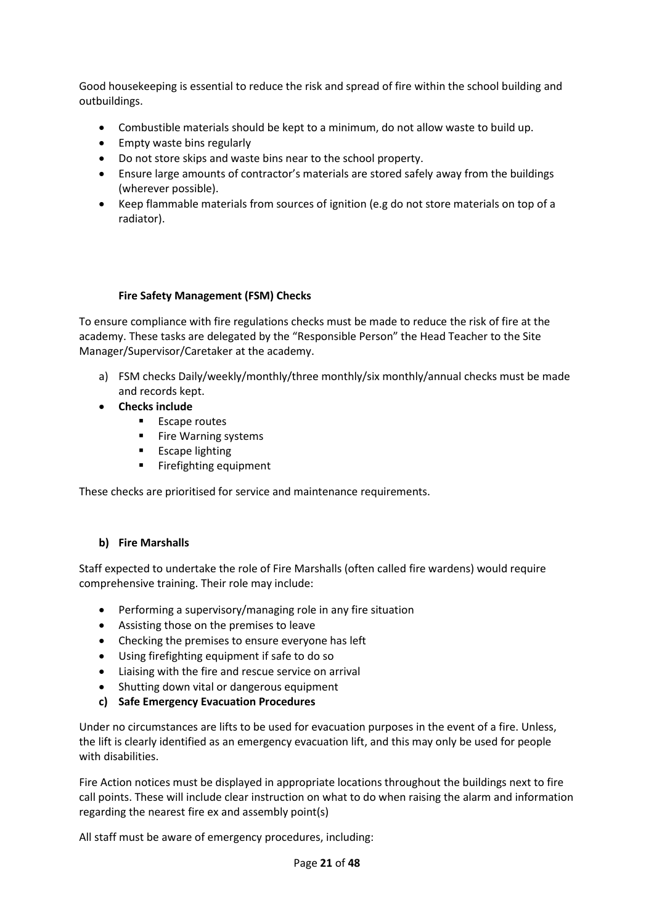Good housekeeping is essential to reduce the risk and spread of fire within the school building and outbuildings.

- Combustible materials should be kept to a minimum, do not allow waste to build up.
- Empty waste bins regularly
- Do not store skips and waste bins near to the school property.
- Ensure large amounts of contractor's materials are stored safely away from the buildings (wherever possible).
- Keep flammable materials from sources of ignition (e.g do not store materials on top of a radiator).

#### **Fire Safety Management (FSM) Checks**

To ensure compliance with fire regulations checks must be made to reduce the risk of fire at the academy. These tasks are delegated by the "Responsible Person" the Head Teacher to the Site Manager/Supervisor/Caretaker at the academy.

- a) FSM checks Daily/weekly/monthly/three monthly/six monthly/annual checks must be made and records kept.
- **Checks include**
	- **Escape routes**
	- **Fire Warning systems**
	- **Escape lighting**
	- Firefighting equipment

These checks are prioritised for service and maintenance requirements.

## **b) Fire Marshalls**

Staff expected to undertake the role of Fire Marshalls (often called fire wardens) would require comprehensive training. Their role may include:

- Performing a supervisory/managing role in any fire situation
- Assisting those on the premises to leave
- Checking the premises to ensure everyone has left
- Using firefighting equipment if safe to do so
- Liaising with the fire and rescue service on arrival
- Shutting down vital or dangerous equipment
- **c) Safe Emergency Evacuation Procedures**

Under no circumstances are lifts to be used for evacuation purposes in the event of a fire. Unless, the lift is clearly identified as an emergency evacuation lift, and this may only be used for people with disabilities.

Fire Action notices must be displayed in appropriate locations throughout the buildings next to fire call points. These will include clear instruction on what to do when raising the alarm and information regarding the nearest fire ex and assembly point(s)

All staff must be aware of emergency procedures, including: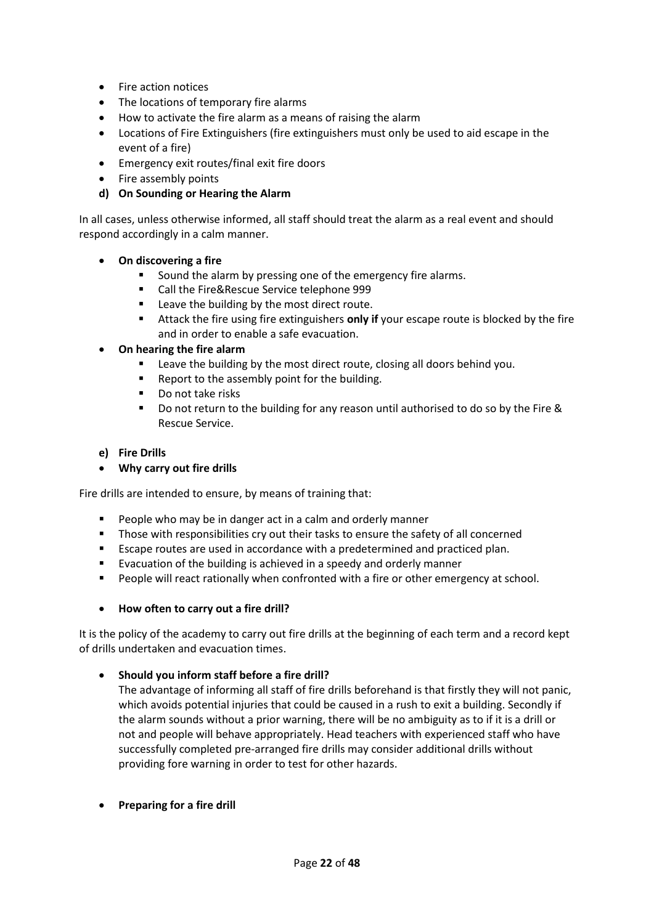- Fire action notices
- The locations of temporary fire alarms
- How to activate the fire alarm as a means of raising the alarm
- Locations of Fire Extinguishers (fire extinguishers must only be used to aid escape in the event of a fire)
- Emergency exit routes/final exit fire doors
- Fire assembly points
- **d) On Sounding or Hearing the Alarm**

In all cases, unless otherwise informed, all staff should treat the alarm as a real event and should respond accordingly in a calm manner.

- **On discovering a fire**
	- Sound the alarm by pressing one of the emergency fire alarms.
	- Call the Fire&Rescue Service telephone 999
	- Leave the building by the most direct route.
	- Attack the fire using fire extinguishers **only if** your escape route is blocked by the fire and in order to enable a safe evacuation.
- **On hearing the fire alarm**
	- Leave the building by the most direct route, closing all doors behind you.
	- Report to the assembly point for the building.
	- Do not take risks
	- Do not return to the building for any reason until authorised to do so by the Fire & Rescue Service.

#### **e) Fire Drills**

**Why carry out fire drills**

Fire drills are intended to ensure, by means of training that:

- **People who may be in danger act in a calm and orderly manner**
- **Those with responsibilities cry out their tasks to ensure the safety of all concerned**
- **E** Escape routes are used in accordance with a predetermined and practiced plan.
- **Evacuation of the building is achieved in a speedy and orderly manner**
- **People will react rationally when confronted with a fire or other emergency at school.**

#### **How often to carry out a fire drill?**

It is the policy of the academy to carry out fire drills at the beginning of each term and a record kept of drills undertaken and evacuation times.

#### **Should you inform staff before a fire drill?**

The advantage of informing all staff of fire drills beforehand is that firstly they will not panic, which avoids potential injuries that could be caused in a rush to exit a building. Secondly if the alarm sounds without a prior warning, there will be no ambiguity as to if it is a drill or not and people will behave appropriately. Head teachers with experienced staff who have successfully completed pre-arranged fire drills may consider additional drills without providing fore warning in order to test for other hazards.

**Preparing for a fire drill**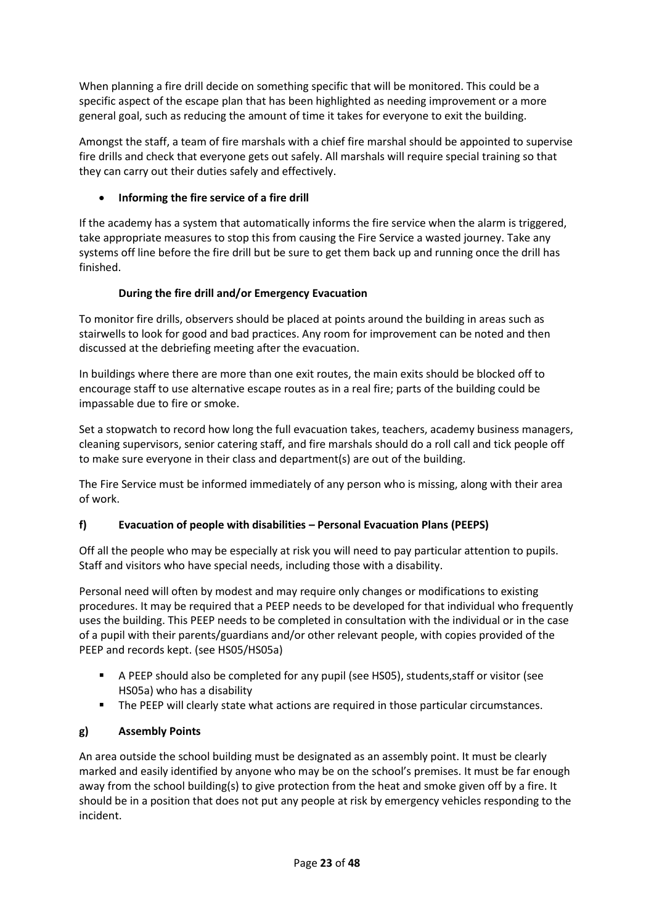When planning a fire drill decide on something specific that will be monitored. This could be a specific aspect of the escape plan that has been highlighted as needing improvement or a more general goal, such as reducing the amount of time it takes for everyone to exit the building.

Amongst the staff, a team of fire marshals with a chief fire marshal should be appointed to supervise fire drills and check that everyone gets out safely. All marshals will require special training so that they can carry out their duties safely and effectively.

## **Informing the fire service of a fire drill**

If the academy has a system that automatically informs the fire service when the alarm is triggered, take appropriate measures to stop this from causing the Fire Service a wasted journey. Take any systems off line before the fire drill but be sure to get them back up and running once the drill has finished.

## **During the fire drill and/or Emergency Evacuation**

To monitor fire drills, observers should be placed at points around the building in areas such as stairwells to look for good and bad practices. Any room for improvement can be noted and then discussed at the debriefing meeting after the evacuation.

In buildings where there are more than one exit routes, the main exits should be blocked off to encourage staff to use alternative escape routes as in a real fire; parts of the building could be impassable due to fire or smoke.

Set a stopwatch to record how long the full evacuation takes, teachers, academy business managers, cleaning supervisors, senior catering staff, and fire marshals should do a roll call and tick people off to make sure everyone in their class and department(s) are out of the building.

The Fire Service must be informed immediately of any person who is missing, along with their area of work.

## **f) Evacuation of people with disabilities – Personal Evacuation Plans (PEEPS)**

Off all the people who may be especially at risk you will need to pay particular attention to pupils. Staff and visitors who have special needs, including those with a disability.

Personal need will often by modest and may require only changes or modifications to existing procedures. It may be required that a PEEP needs to be developed for that individual who frequently uses the building. This PEEP needs to be completed in consultation with the individual or in the case of a pupil with their parents/guardians and/or other relevant people, with copies provided of the PEEP and records kept. (see HS05/HS05a)

- A PEEP should also be completed for any pupil (see HS05), students,staff or visitor (see HS05a) who has a disability
- The PEEP will clearly state what actions are required in those particular circumstances.

## **g) Assembly Points**

An area outside the school building must be designated as an assembly point. It must be clearly marked and easily identified by anyone who may be on the school's premises. It must be far enough away from the school building(s) to give protection from the heat and smoke given off by a fire. It should be in a position that does not put any people at risk by emergency vehicles responding to the incident.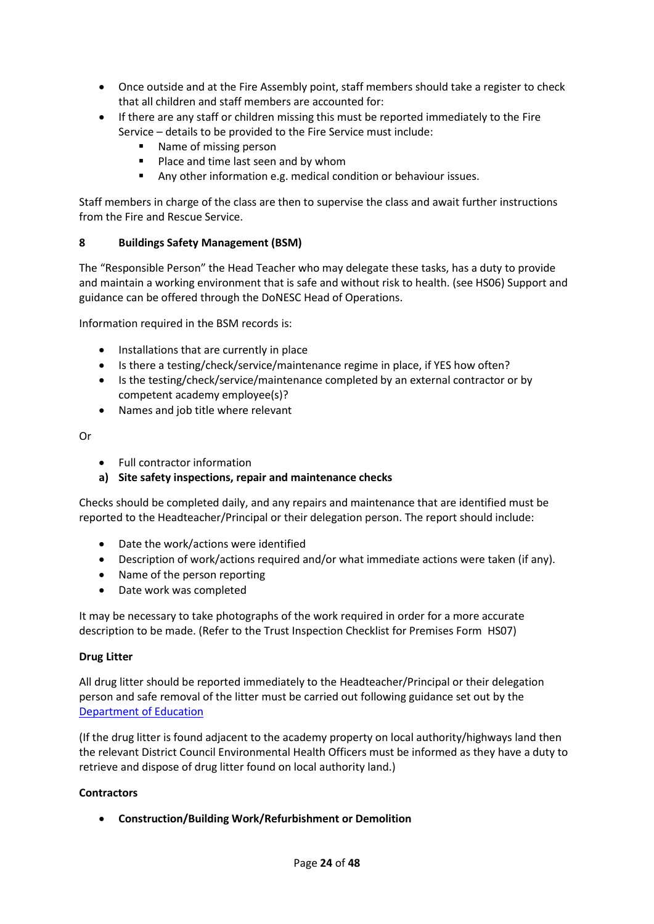- Once outside and at the Fire Assembly point, staff members should take a register to check that all children and staff members are accounted for:
- If there are any staff or children missing this must be reported immediately to the Fire Service – details to be provided to the Fire Service must include:
	- Name of missing person
	- **Place and time last seen and by whom**
	- Any other information e.g. medical condition or behaviour issues.

Staff members in charge of the class are then to supervise the class and await further instructions from the Fire and Rescue Service.

## **8 Buildings Safety Management (BSM)**

The "Responsible Person" the Head Teacher who may delegate these tasks, has a duty to provide and maintain a working environment that is safe and without risk to health. (see HS06) Support and guidance can be offered through the DoNESC Head of Operations.

Information required in the BSM records is:

- Installations that are currently in place
- Is there a testing/check/service/maintenance regime in place, if YES how often?
- Is the testing/check/service/maintenance completed by an external contractor or by competent academy employee(s)?
- Names and job title where relevant

Or

- Full contractor information
- **a) Site safety inspections, repair and maintenance checks**

Checks should be completed daily, and any repairs and maintenance that are identified must be reported to the Headteacher/Principal or their delegation person. The report should include:

- Date the work/actions were identified
- Description of work/actions required and/or what immediate actions were taken (if any).
- Name of the person reporting
- Date work was completed

It may be necessary to take photographs of the work required in order for a more accurate description to be made. (Refer to the Trust Inspection Checklist for Premises Form HS07)

#### **Drug Litter**

All drug litter should be reported immediately to the Headteacher/Principal or their delegation person and safe removal of the litter must be carried out following guidance set out by the [Department of Education](https://assets.publishing.service.gov.uk/government/uploads/system/uploads/attachment_data/file/221089/pb10970-drugrelatedlitter.pdf)

(If the drug litter is found adjacent to the academy property on local authority/highways land then the relevant District Council Environmental Health Officers must be informed as they have a duty to retrieve and dispose of drug litter found on local authority land.)

#### **Contractors**

**Construction/Building Work/Refurbishment or Demolition**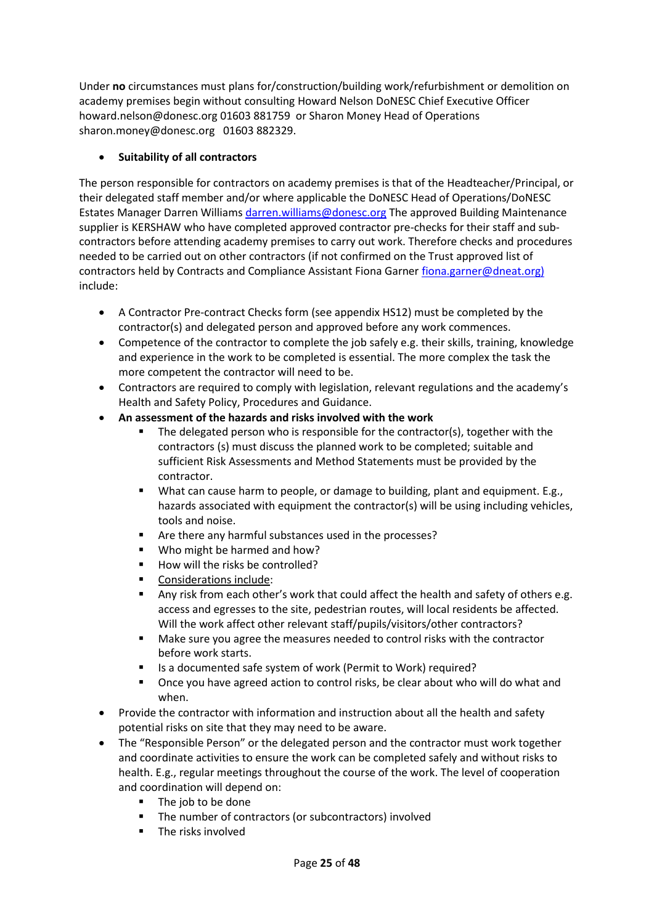Under **no** circumstances must plans for/construction/building work/refurbishment or demolition on academy premises begin without consulting Howard Nelson DoNESC Chief Executive Officer howard.nelson@donesc.org 01603 881759 or Sharon Money Head of Operations sharon.money@donesc.org 01603 882329.

## **Suitability of all contractors**

The person responsible for contractors on academy premises is that of the Headteacher/Principal, or their delegated staff member and/or where applicable the DoNESC Head of Operations/DoNESC Estates Manager Darren William[s darren.williams@donesc.org](mailto:darren.williams@donesc.org) The approved Building Maintenance supplier is KERSHAW who have completed approved contractor pre-checks for their staff and subcontractors before attending academy premises to carry out work. Therefore checks and procedures needed to be carried out on other contractors (if not confirmed on the Trust approved list of contractors held by Contracts and Compliance Assistant Fiona Garner [fiona.garner@dneat.org\)](mailto:fiona.garner@dneat.org) include:

- A Contractor Pre-contract Checks form (see appendix HS12) must be completed by the contractor(s) and delegated person and approved before any work commences.
- Competence of the contractor to complete the job safely e.g. their skills, training, knowledge and experience in the work to be completed is essential. The more complex the task the more competent the contractor will need to be.
- Contractors are required to comply with legislation, relevant regulations and the academy's Health and Safety Policy, Procedures and Guidance.
- **An assessment of the hazards and risks involved with the work**
	- The delegated person who is responsible for the contractor(s), together with the contractors (s) must discuss the planned work to be completed; suitable and sufficient Risk Assessments and Method Statements must be provided by the contractor.
	- **What can cause harm to people, or damage to building, plant and equipment. E.g.,** hazards associated with equipment the contractor(s) will be using including vehicles, tools and noise.
	- Are there any harmful substances used in the processes?
	- Who might be harmed and how?
	- How will the risks be controlled?
	- Considerations include:
	- Any risk from each other's work that could affect the health and safety of others e.g. access and egresses to the site, pedestrian routes, will local residents be affected. Will the work affect other relevant staff/pupils/visitors/other contractors?
	- Make sure you agree the measures needed to control risks with the contractor before work starts.
	- Is a documented safe system of work (Permit to Work) required?
	- Once you have agreed action to control risks, be clear about who will do what and when.
- Provide the contractor with information and instruction about all the health and safety potential risks on site that they may need to be aware.
- The "Responsible Person" or the delegated person and the contractor must work together and coordinate activities to ensure the work can be completed safely and without risks to health. E.g., regular meetings throughout the course of the work. The level of cooperation and coordination will depend on:
	- The job to be done
	- The number of contractors (or subcontractors) involved
	- $\blacksquare$  The risks involved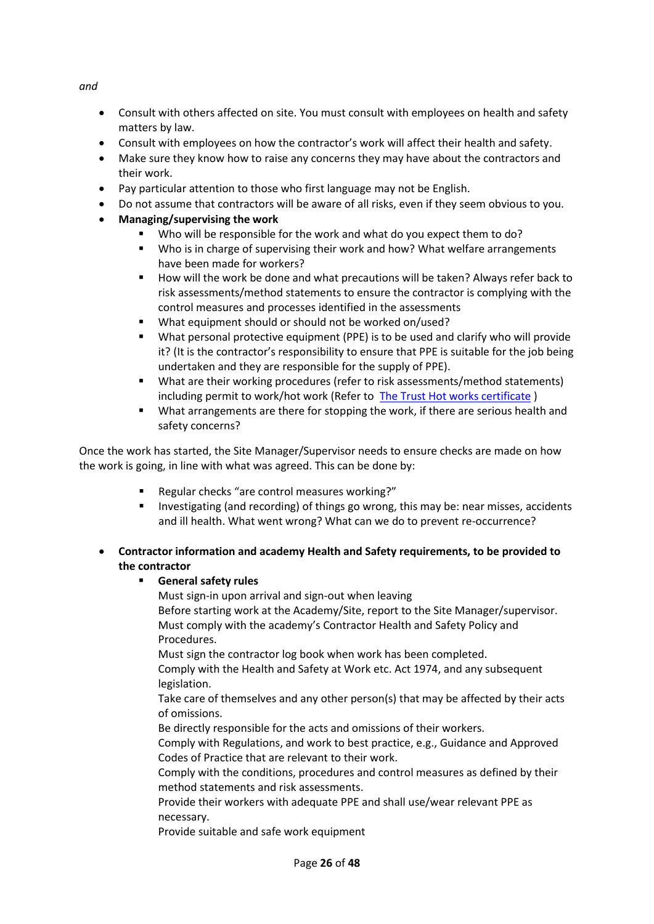*and*

- Consult with others affected on site. You must consult with employees on health and safety matters by law.
- Consult with employees on how the contractor's work will affect their health and safety.
- Make sure they know how to raise any concerns they may have about the contractors and their work.
- Pay particular attention to those who first language may not be English.
- Do not assume that contractors will be aware of all risks, even if they seem obvious to you.
- **Managing/supervising the work**
	- Who will be responsible for the work and what do you expect them to do?
	- Who is in charge of supervising their work and how? What welfare arrangements have been made for workers?
	- How will the work be done and what precautions will be taken? Always refer back to risk assessments/method statements to ensure the contractor is complying with the control measures and processes identified in the assessments
	- What equipment should or should not be worked on/used?
	- What personal protective equipment (PPE) is to be used and clarify who will provide it? (It is the contractor's responsibility to ensure that PPE is suitable for the job being undertaken and they are responsible for the supply of PPE).
	- What are their working procedures (refer to risk assessments/method statements) including permit to work/hot work (Refer to The Trust [Hot works certificate](http://www.dneat.org/dneat-academy-procedures) )
	- What arrangements are there for stopping the work, if there are serious health and safety concerns?

Once the work has started, the Site Manager/Supervisor needs to ensure checks are made on how the work is going, in line with what was agreed. This can be done by:

- Regular checks "are control measures working?"
- Investigating (and recording) of things go wrong, this may be: near misses, accidents and ill health. What went wrong? What can we do to prevent re-occurrence?
- **Contractor information and academy Health and Safety requirements, to be provided to the contractor**

## **General safety rules**

Must sign-in upon arrival and sign-out when leaving Before starting work at the Academy/Site, report to the Site Manager/supervisor. Must comply with the academy's Contractor Health and Safety Policy and Procedures.

Must sign the contractor log book when work has been completed.

Comply with the Health and Safety at Work etc. Act 1974, and any subsequent legislation.

Take care of themselves and any other person(s) that may be affected by their acts of omissions.

Be directly responsible for the acts and omissions of their workers.

Comply with Regulations, and work to best practice, e.g., Guidance and Approved Codes of Practice that are relevant to their work.

Comply with the conditions, procedures and control measures as defined by their method statements and risk assessments.

Provide their workers with adequate PPE and shall use/wear relevant PPE as necessary.

Provide suitable and safe work equipment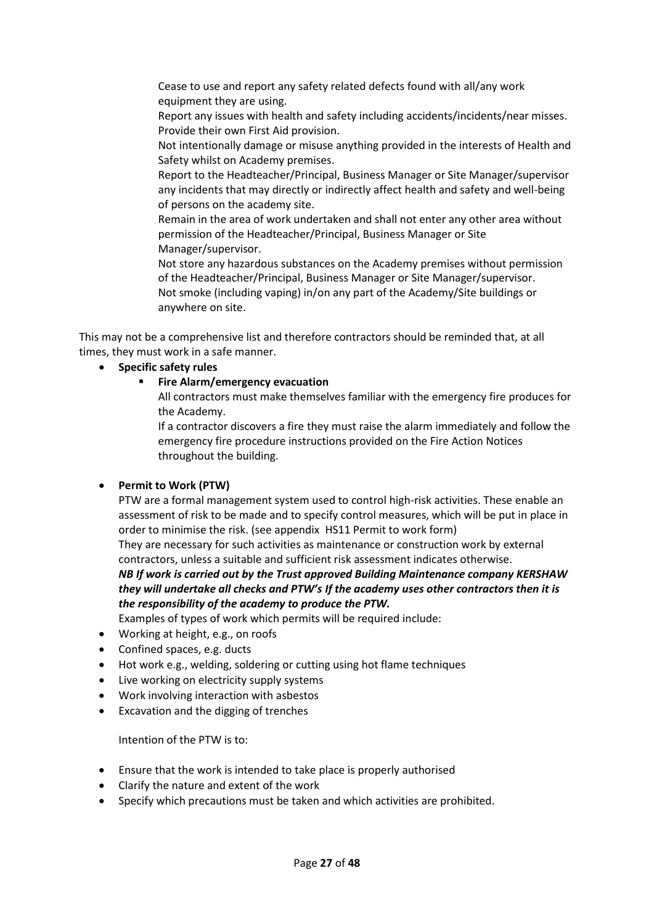Cease to use and report any safety related defects found with all/any work equipment they are using.

Report any issues with health and safety including accidents/incidents/near misses. Provide their own First Aid provision.

Not intentionally damage or misuse anything provided in the interests of Health and Safety whilst on Academy premises.

Report to the Headteacher/Principal, Business Manager or Site Manager/supervisor any incidents that may directly or indirectly affect health and safety and well-being of persons on the academy site.

Remain in the area of work undertaken and shall not enter any other area without permission of the Headteacher/Principal, Business Manager or Site Manager/supervisor.

Not store any hazardous substances on the Academy premises without permission of the Headteacher/Principal, Business Manager or Site Manager/supervisor. Not smoke (including vaping) in/on any part of the Academy/Site buildings or anywhere on site.

This may not be a comprehensive list and therefore contractors should be reminded that, at all times, they must work in a safe manner.

**Specific safety rules**

## **Fire Alarm/emergency evacuation**

All contractors must make themselves familiar with the emergency fire produces for the Academy.

If a contractor discovers a fire they must raise the alarm immediately and follow the emergency fire procedure instructions provided on the Fire Action Notices throughout the building.

## **Permit to Work (PTW)**

PTW are a formal management system used to control high-risk activities. These enable an assessment of risk to be made and to specify control measures, which will be put in place in order to minimise the risk. (see appendix HS11 Permit to work form)

They are necessary for such activities as maintenance or construction work by external contractors, unless a suitable and sufficient risk assessment indicates otherwise.

*NB If work is carried out by the Trust approved Building Maintenance company KERSHAW they will undertake all checks and PTW's If the academy uses other contractors then it is the responsibility of the academy to produce the PTW.*

Examples of types of work which permits will be required include:

- Working at height, e.g., on roofs
- Confined spaces, e.g. ducts
- Hot work e.g., welding, soldering or cutting using hot flame techniques
- Live working on electricity supply systems
- Work involving interaction with asbestos
- Excavation and the digging of trenches

Intention of the PTW is to:

- Ensure that the work is intended to take place is properly authorised
- Clarify the nature and extent of the work
- Specify which precautions must be taken and which activities are prohibited.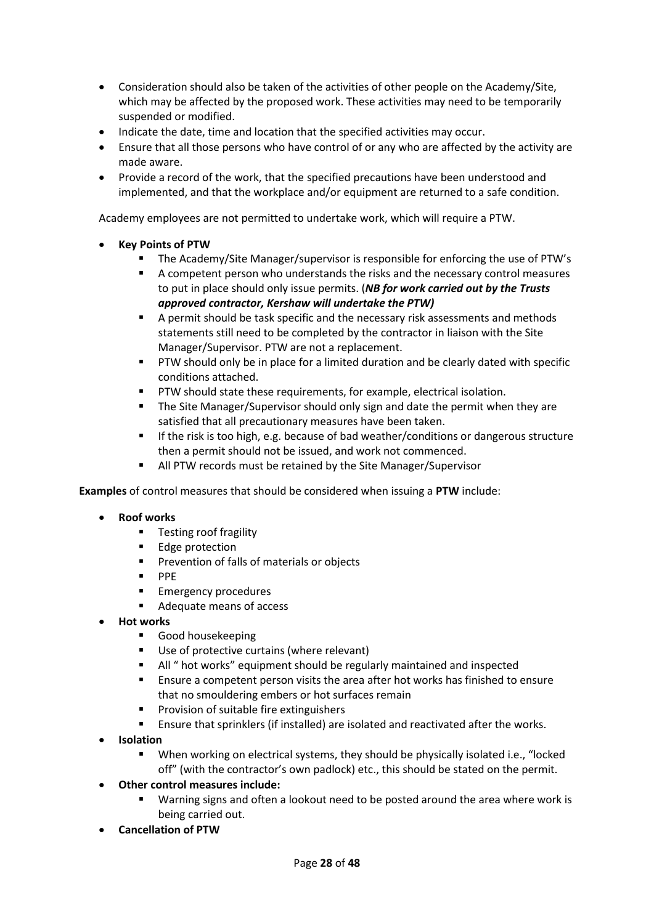- Consideration should also be taken of the activities of other people on the Academy/Site, which may be affected by the proposed work. These activities may need to be temporarily suspended or modified.
- Indicate the date, time and location that the specified activities may occur.
- Ensure that all those persons who have control of or any who are affected by the activity are made aware.
- Provide a record of the work, that the specified precautions have been understood and implemented, and that the workplace and/or equipment are returned to a safe condition.

Academy employees are not permitted to undertake work, which will require a PTW.

- **Key Points of PTW**
	- The Academy/Site Manager/supervisor is responsible for enforcing the use of PTW's
	- A competent person who understands the risks and the necessary control measures to put in place should only issue permits. (*NB for work carried out by the Trusts approved contractor, Kershaw will undertake the PTW)*
	- A permit should be task specific and the necessary risk assessments and methods statements still need to be completed by the contractor in liaison with the Site Manager/Supervisor. PTW are not a replacement.
	- **PTW should only be in place for a limited duration and be clearly dated with specific** conditions attached.
	- PTW should state these requirements, for example, electrical isolation.
	- The Site Manager/Supervisor should only sign and date the permit when they are satisfied that all precautionary measures have been taken.
	- If the risk is too high, e.g. because of bad weather/conditions or dangerous structure then a permit should not be issued, and work not commenced.
	- All PTW records must be retained by the Site Manager/Supervisor

**Examples** of control measures that should be considered when issuing a **PTW** include:

- **Roof works**
	- **Testing roof fragility**
	- **Edge protection**
	- **Prevention of falls of materials or objects**
	- $\blacksquare$  PPE
	- **Emergency procedures**
	- Adequate means of access
- **Hot works**
	- **Good housekeeping**
	- Use of protective curtains (where relevant)
	- All " hot works" equipment should be regularly maintained and inspected
	- Ensure a competent person visits the area after hot works has finished to ensure that no smouldering embers or hot surfaces remain
	- Provision of suitable fire extinguishers
	- **Ensure that sprinklers (if installed) are isolated and reactivated after the works.**
- **Isolation**
	- When working on electrical systems, they should be physically isolated i.e., "locked off" (with the contractor's own padlock) etc., this should be stated on the permit.
- **Other control measures include:**
	- Warning signs and often a lookout need to be posted around the area where work is being carried out.
- **Cancellation of PTW**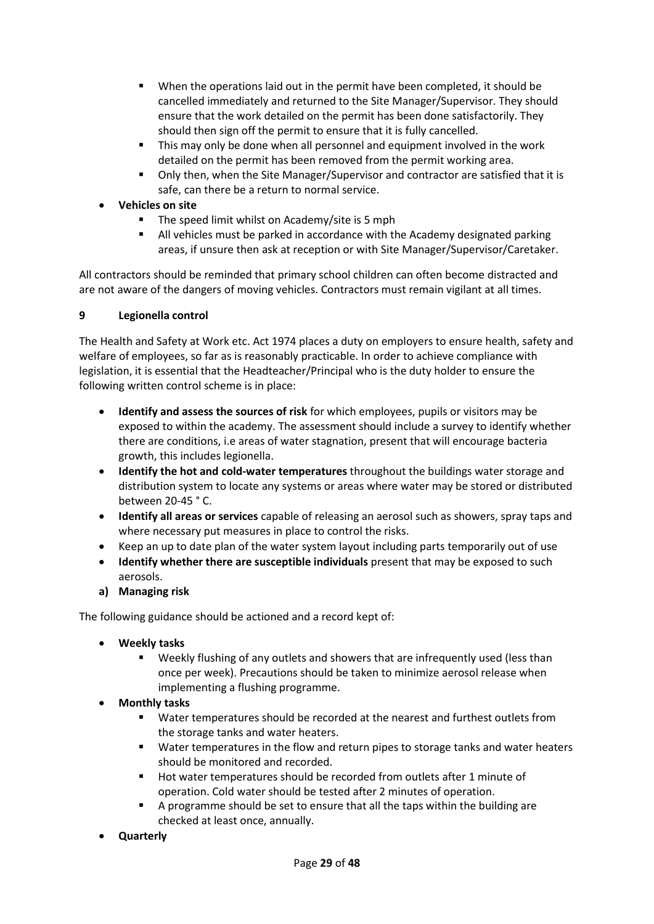- When the operations laid out in the permit have been completed, it should be cancelled immediately and returned to the Site Manager/Supervisor. They should ensure that the work detailed on the permit has been done satisfactorily. They should then sign off the permit to ensure that it is fully cancelled.
- This may only be done when all personnel and equipment involved in the work detailed on the permit has been removed from the permit working area.
- Only then, when the Site Manager/Supervisor and contractor are satisfied that it is safe, can there be a return to normal service.
- **Vehicles on site**
	- **The speed limit whilst on Academy/site is 5 mph**
	- All vehicles must be parked in accordance with the Academy designated parking areas, if unsure then ask at reception or with Site Manager/Supervisor/Caretaker.

All contractors should be reminded that primary school children can often become distracted and are not aware of the dangers of moving vehicles. Contractors must remain vigilant at all times.

## **9 Legionella control**

The Health and Safety at Work etc. Act 1974 places a duty on employers to ensure health, safety and welfare of employees, so far as is reasonably practicable. In order to achieve compliance with legislation, it is essential that the Headteacher/Principal who is the duty holder to ensure the following written control scheme is in place:

- **Identify and assess the sources of risk** for which employees, pupils or visitors may be exposed to within the academy. The assessment should include a survey to identify whether there are conditions, i.e areas of water stagnation, present that will encourage bacteria growth, this includes legionella.
- **Identify the hot and cold-water temperatures** throughout the buildings water storage and distribution system to locate any systems or areas where water may be stored or distributed between 20-45 ° C.
- **Identify all areas or services** capable of releasing an aerosol such as showers, spray taps and where necessary put measures in place to control the risks.
- Keep an up to date plan of the water system layout including parts temporarily out of use
- **Identify whether there are susceptible individuals** present that may be exposed to such aerosols.
- **a) Managing risk**

The following guidance should be actioned and a record kept of:

- **Weekly tasks**
	- Weekly flushing of any outlets and showers that are infrequently used (less than once per week). Precautions should be taken to minimize aerosol release when implementing a flushing programme.
- **Monthly tasks**
	- Water temperatures should be recorded at the nearest and furthest outlets from the storage tanks and water heaters.
	- Water temperatures in the flow and return pipes to storage tanks and water heaters should be monitored and recorded.
	- Hot water temperatures should be recorded from outlets after 1 minute of operation. Cold water should be tested after 2 minutes of operation.
	- A programme should be set to ensure that all the taps within the building are checked at least once, annually.
- **Quarterly**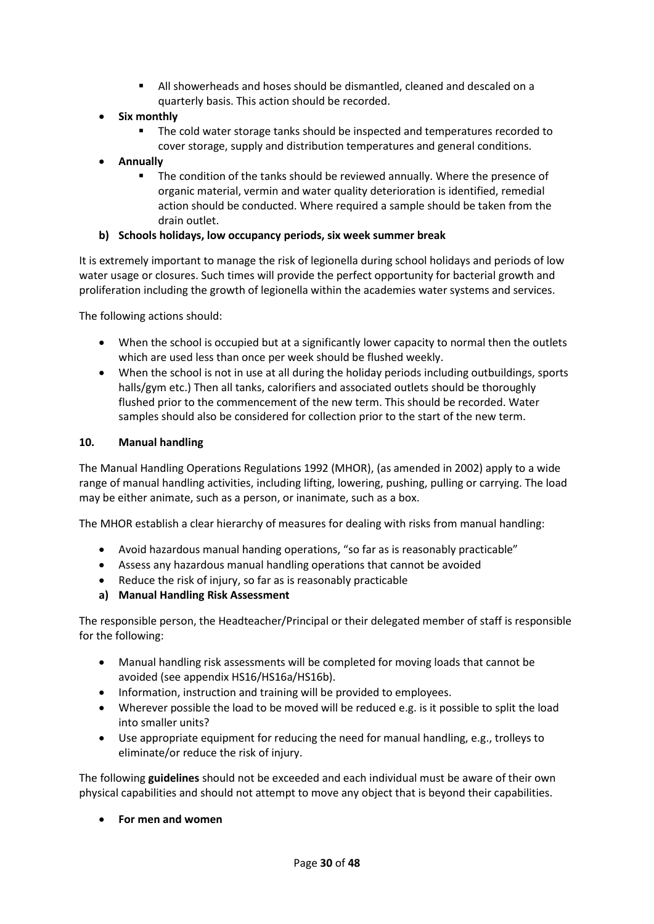- All showerheads and hoses should be dismantled, cleaned and descaled on a quarterly basis. This action should be recorded.
- **Six monthly**
	- The cold water storage tanks should be inspected and temperatures recorded to cover storage, supply and distribution temperatures and general conditions.
- **Annually**
	- The condition of the tanks should be reviewed annually. Where the presence of organic material, vermin and water quality deterioration is identified, remedial action should be conducted. Where required a sample should be taken from the drain outlet.

## **b) Schools holidays, low occupancy periods, six week summer break**

It is extremely important to manage the risk of legionella during school holidays and periods of low water usage or closures. Such times will provide the perfect opportunity for bacterial growth and proliferation including the growth of legionella within the academies water systems and services.

The following actions should:

- When the school is occupied but at a significantly lower capacity to normal then the outlets which are used less than once per week should be flushed weekly.
- When the school is not in use at all during the holiday periods including outbuildings, sports halls/gym etc.) Then all tanks, calorifiers and associated outlets should be thoroughly flushed prior to the commencement of the new term. This should be recorded. Water samples should also be considered for collection prior to the start of the new term.

#### **10. Manual handling**

The Manual Handling Operations Regulations 1992 (MHOR), (as amended in 2002) apply to a wide range of manual handling activities, including lifting, lowering, pushing, pulling or carrying. The load may be either animate, such as a person, or inanimate, such as a box.

The MHOR establish a clear hierarchy of measures for dealing with risks from manual handling:

- Avoid hazardous manual handing operations, "so far as is reasonably practicable"
- Assess any hazardous manual handling operations that cannot be avoided
- Reduce the risk of injury, so far as is reasonably practicable
- **a) Manual Handling Risk Assessment**

The responsible person, the Headteacher/Principal or their delegated member of staff is responsible for the following:

- Manual handling risk assessments will be completed for moving loads that cannot be avoided (see appendix HS16/HS16a/HS16b).
- Information, instruction and training will be provided to employees.
- Wherever possible the load to be moved will be reduced e.g. is it possible to split the load into smaller units?
- Use appropriate equipment for reducing the need for manual handling, e.g., trolleys to eliminate/or reduce the risk of injury.

The following **guidelines** should not be exceeded and each individual must be aware of their own physical capabilities and should not attempt to move any object that is beyond their capabilities.

**For men and women**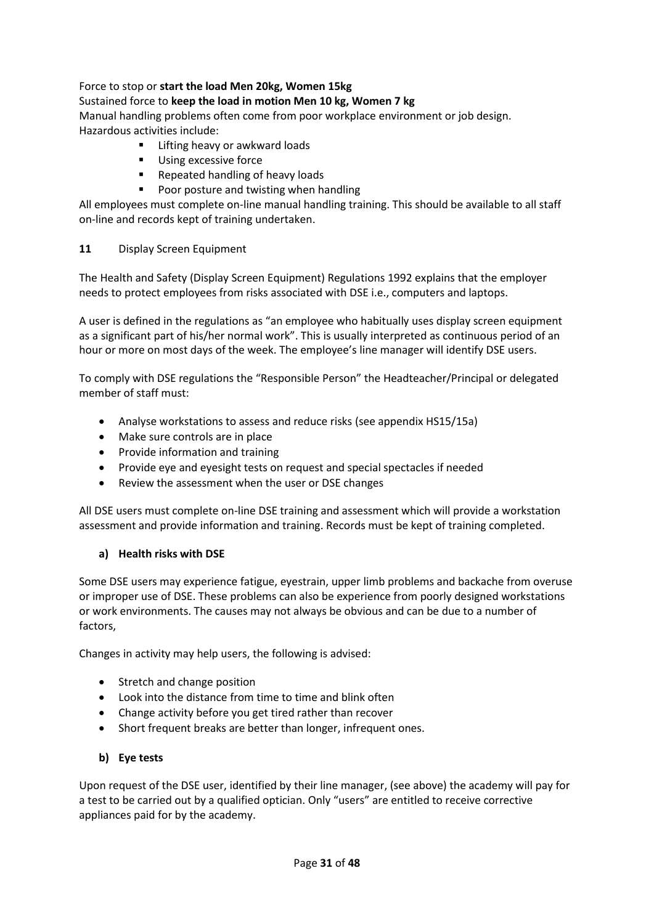## Force to stop or **start the load Men 20kg, Women 15kg**

## Sustained force to **keep the load in motion Men 10 kg, Women 7 kg**

Manual handling problems often come from poor workplace environment or job design. Hazardous activities include:

- Lifting heavy or awkward loads
- Using excessive force<br>
Repeated handling of
- Repeated handling of heavy loads
- **Poor posture and twisting when handling**

All employees must complete on-line manual handling training. This should be available to all staff on-line and records kept of training undertaken.

## **11** Display Screen Equipment

The Health and Safety (Display Screen Equipment) Regulations 1992 explains that the employer needs to protect employees from risks associated with DSE i.e., computers and laptops.

A user is defined in the regulations as "an employee who habitually uses display screen equipment as a significant part of his/her normal work". This is usually interpreted as continuous period of an hour or more on most days of the week. The employee's line manager will identify DSE users.

To comply with DSE regulations the "Responsible Person" the Headteacher/Principal or delegated member of staff must:

- Analyse workstations to assess and reduce risks (see appendix HS15/15a)
- Make sure controls are in place
- Provide information and training
- Provide eye and eyesight tests on request and special spectacles if needed
- Review the assessment when the user or DSE changes

All DSE users must complete on-line DSE training and assessment which will provide a workstation assessment and provide information and training. Records must be kept of training completed.

## **a) Health risks with DSE**

Some DSE users may experience fatigue, eyestrain, upper limb problems and backache from overuse or improper use of DSE. These problems can also be experience from poorly designed workstations or work environments. The causes may not always be obvious and can be due to a number of factors,

Changes in activity may help users, the following is advised:

- Stretch and change position
- Look into the distance from time to time and blink often
- Change activity before you get tired rather than recover
- Short frequent breaks are better than longer, infrequent ones.

## **b) Eye tests**

Upon request of the DSE user, identified by their line manager, (see above) the academy will pay for a test to be carried out by a qualified optician. Only "users" are entitled to receive corrective appliances paid for by the academy.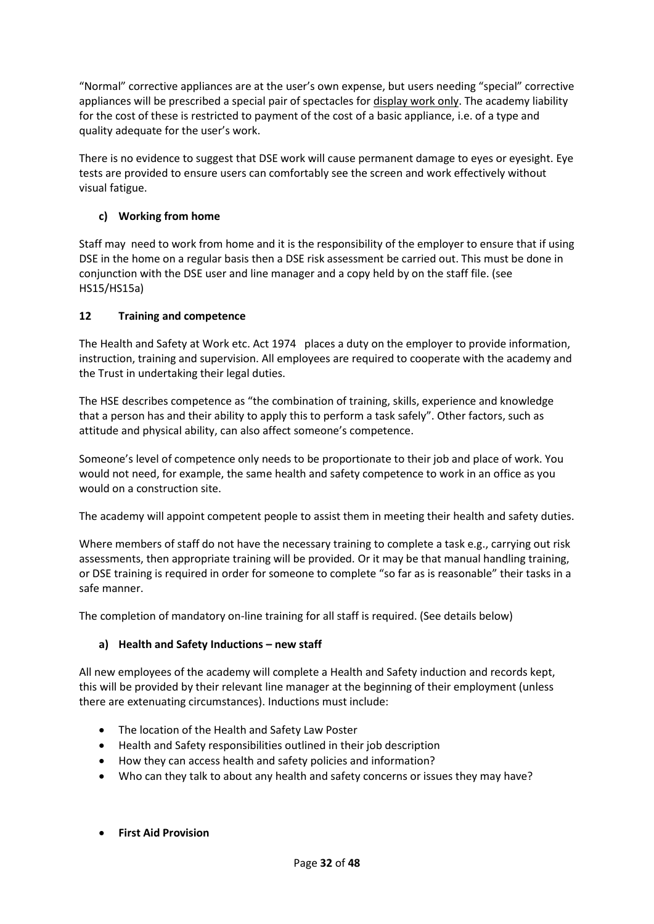"Normal" corrective appliances are at the user's own expense, but users needing "special" corrective appliances will be prescribed a special pair of spectacles for display work only. The academy liability for the cost of these is restricted to payment of the cost of a basic appliance, i.e. of a type and quality adequate for the user's work.

There is no evidence to suggest that DSE work will cause permanent damage to eyes or eyesight. Eye tests are provided to ensure users can comfortably see the screen and work effectively without visual fatigue.

## **c) Working from home**

Staff may need to work from home and it is the responsibility of the employer to ensure that if using DSE in the home on a regular basis then a DSE risk assessment be carried out. This must be done in conjunction with the DSE user and line manager and a copy held by on the staff file. (see HS15/HS15a)

## **12 Training and competence**

The Health and Safety at Work etc. Act 1974 places a duty on the employer to provide information, instruction, training and supervision. All employees are required to cooperate with the academy and the Trust in undertaking their legal duties.

The HSE describes competence as "the combination of training, skills, experience and knowledge that a person has and their ability to apply this to perform a task safely". Other factors, such as attitude and physical ability, can also affect someone's competence.

Someone's level of competence only needs to be proportionate to their job and place of work. You would not need, for example, the same health and safety competence to work in an office as you would on a construction site.

The academy will appoint competent people to assist them in meeting their health and safety duties.

Where members of staff do not have the necessary training to complete a task e.g., carrying out risk assessments, then appropriate training will be provided. Or it may be that manual handling training, or DSE training is required in order for someone to complete "so far as is reasonable" their tasks in a safe manner.

The completion of mandatory on-line training for all staff is required. (See details below)

## **a) Health and Safety Inductions – new staff**

All new employees of the academy will complete a Health and Safety induction and records kept, this will be provided by their relevant line manager at the beginning of their employment (unless there are extenuating circumstances). Inductions must include:

- The location of the Health and Safety Law Poster
- Health and Safety responsibilities outlined in their job description
- How they can access health and safety policies and information?
- Who can they talk to about any health and safety concerns or issues they may have?
- **First Aid Provision**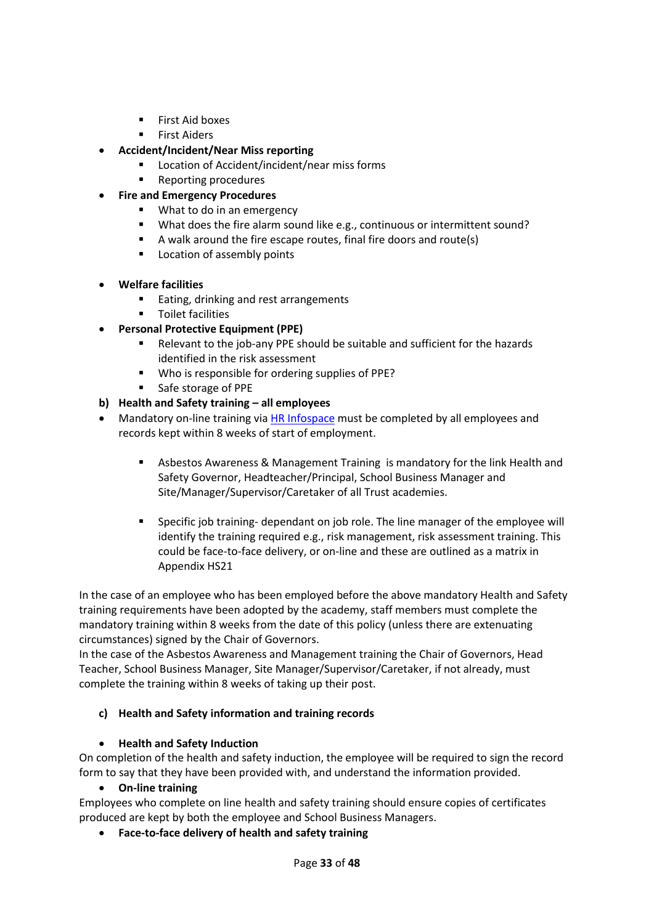- **First Aid boxes**
- First Aiders
- **Accident/Incident/Near Miss reporting**
	- Location of Accident/incident/near miss forms
	- Reporting procedures
- **Fire and Emergency Procedures**
	- **What to do in an emergency**
	- What does the fire alarm sound like e.g., continuous or intermittent sound?
	- A walk around the fire escape routes, final fire doors and route(s)
	- **Location of assembly points**
- **Welfare facilities**
	- **Eating, drinking and rest arrangements**
	- **Toilet facilities**
- **Personal Protective Equipment (PPE)**
	- Relevant to the job-any PPE should be suitable and sufficient for the hazards identified in the risk assessment
	- **Who is responsible for ordering supplies of PPE?**
	- **Safe storage of PPE**

## **b) Health and Safety training – all employees**

- Mandatory on-line training vi[a HR Infospace](https://www.infospace.org.uk/hr/) must be completed by all employees and records kept within 8 weeks of start of employment.
	- Asbestos Awareness & Management Training is mandatory for the link Health and Safety Governor, Headteacher/Principal, School Business Manager and Site/Manager/Supervisor/Caretaker of all Trust academies.
	- Specific job training- dependant on job role. The line manager of the employee will identify the training required e.g., risk management, risk assessment training. This could be face-to-face delivery, or on-line and these are outlined as a matrix in Appendix HS21

In the case of an employee who has been employed before the above mandatory Health and Safety training requirements have been adopted by the academy, staff members must complete the mandatory training within 8 weeks from the date of this policy (unless there are extenuating circumstances) signed by the Chair of Governors.

In the case of the Asbestos Awareness and Management training the Chair of Governors, Head Teacher, School Business Manager, Site Manager/Supervisor/Caretaker, if not already, must complete the training within 8 weeks of taking up their post.

## **c) Health and Safety information and training records**

## **Health and Safety Induction**

On completion of the health and safety induction, the employee will be required to sign the record form to say that they have been provided with, and understand the information provided.

**On-line training**

Employees who complete on line health and safety training should ensure copies of certificates produced are kept by both the employee and School Business Managers.

**Face-to-face delivery of health and safety training**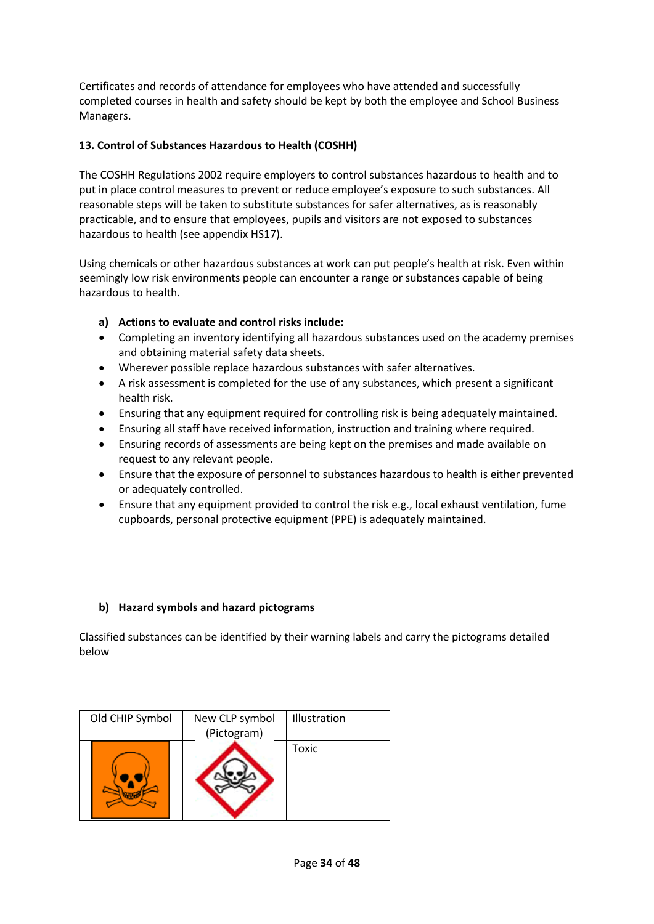Certificates and records of attendance for employees who have attended and successfully completed courses in health and safety should be kept by both the employee and School Business Managers.

## **13. Control of Substances Hazardous to Health (COSHH)**

The COSHH Regulations 2002 require employers to control substances hazardous to health and to put in place control measures to prevent or reduce employee's exposure to such substances. All reasonable steps will be taken to substitute substances for safer alternatives, as is reasonably practicable, and to ensure that employees, pupils and visitors are not exposed to substances hazardous to health (see appendix HS17).

Using chemicals or other hazardous substances at work can put people's health at risk. Even within seemingly low risk environments people can encounter a range or substances capable of being hazardous to health.

## **a) Actions to evaluate and control risks include:**

- Completing an inventory identifying all hazardous substances used on the academy premises and obtaining material safety data sheets.
- Wherever possible replace hazardous substances with safer alternatives.
- A risk assessment is completed for the use of any substances, which present a significant health risk.
- Ensuring that any equipment required for controlling risk is being adequately maintained.
- Ensuring all staff have received information, instruction and training where required.
- Ensuring records of assessments are being kept on the premises and made available on request to any relevant people.
- Ensure that the exposure of personnel to substances hazardous to health is either prevented or adequately controlled.
- Ensure that any equipment provided to control the risk e.g., local exhaust ventilation, fume cupboards, personal protective equipment (PPE) is adequately maintained.

## **b) Hazard symbols and hazard pictograms**

Classified substances can be identified by their warning labels and carry the pictograms detailed below

| Old CHIP Symbol | New CLP symbol | Illustration |
|-----------------|----------------|--------------|
|                 | (Pictogram)    |              |
|                 |                | Toxic        |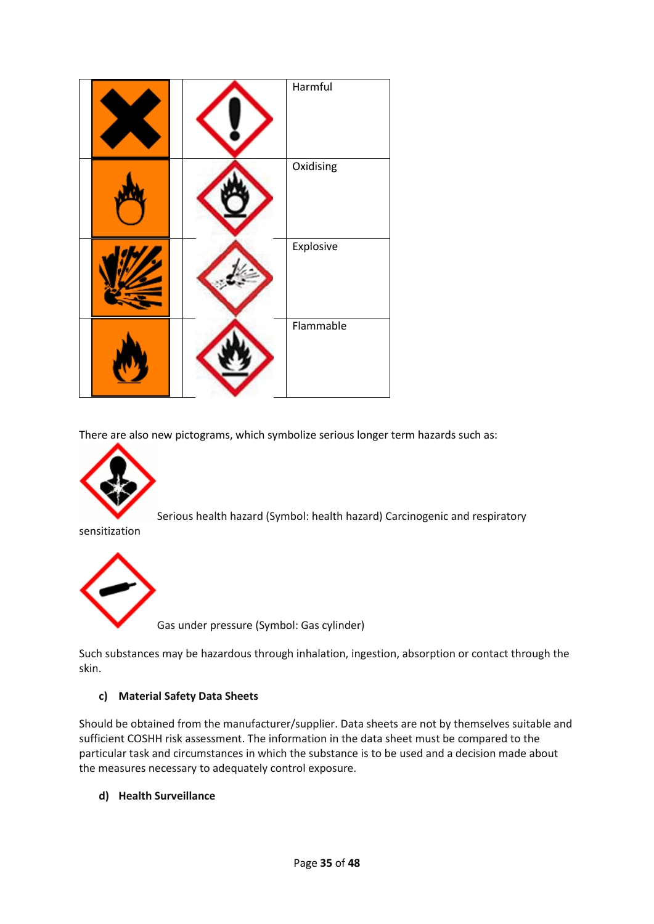|  | Harmful   |
|--|-----------|
|  | Oxidising |
|  | Explosive |
|  | Flammable |

There are also new pictograms, which symbolize serious longer term hazards such as:



Serious health hazard (Symbol: health hazard) Carcinogenic and respiratory

sensitization



Gas under pressure (Symbol: Gas cylinder)

Such substances may be hazardous through inhalation, ingestion, absorption or contact through the skin.

#### **c) Material Safety Data Sheets**

Should be obtained from the manufacturer/supplier. Data sheets are not by themselves suitable and sufficient COSHH risk assessment. The information in the data sheet must be compared to the particular task and circumstances in which the substance is to be used and a decision made about the measures necessary to adequately control exposure.

**d) Health Surveillance**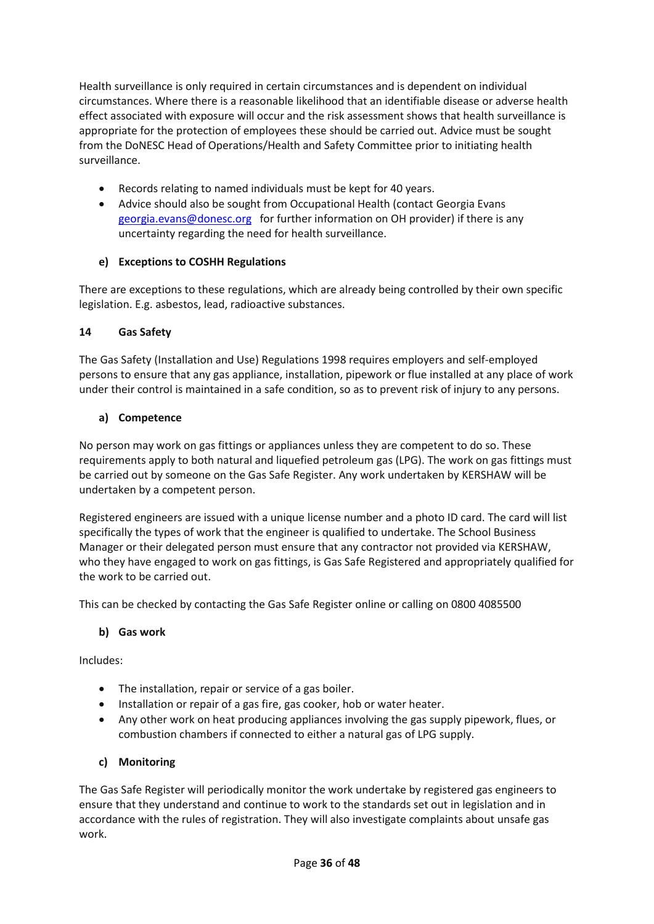Health surveillance is only required in certain circumstances and is dependent on individual circumstances. Where there is a reasonable likelihood that an identifiable disease or adverse health effect associated with exposure will occur and the risk assessment shows that health surveillance is appropriate for the protection of employees these should be carried out. Advice must be sought from the DoNESC Head of Operations/Health and Safety Committee prior to initiating health surveillance.

- Records relating to named individuals must be kept for 40 years.
- Advice should also be sought from Occupational Health (contact Georgia Evans [georgia.evans@donesc.org](mailto:georgia.evans@donesc.org) for further information on OH provider) if there is any uncertainty regarding the need for health surveillance.

## **e) Exceptions to COSHH Regulations**

There are exceptions to these regulations, which are already being controlled by their own specific legislation. E.g. asbestos, lead, radioactive substances.

## **14 Gas Safety**

The Gas Safety (Installation and Use) Regulations 1998 requires employers and self-employed persons to ensure that any gas appliance, installation, pipework or flue installed at any place of work under their control is maintained in a safe condition, so as to prevent risk of injury to any persons.

## **a) Competence**

No person may work on gas fittings or appliances unless they are competent to do so. These requirements apply to both natural and liquefied petroleum gas (LPG). The work on gas fittings must be carried out by someone on the Gas Safe Register. Any work undertaken by KERSHAW will be undertaken by a competent person.

Registered engineers are issued with a unique license number and a photo ID card. The card will list specifically the types of work that the engineer is qualified to undertake. The School Business Manager or their delegated person must ensure that any contractor not provided via KERSHAW, who they have engaged to work on gas fittings, is Gas Safe Registered and appropriately qualified for the work to be carried out.

This can be checked by contacting the Gas Safe Register online or calling on 0800 4085500

## **b) Gas work**

Includes:

- The installation, repair or service of a gas boiler.
- Installation or repair of a gas fire, gas cooker, hob or water heater.
- Any other work on heat producing appliances involving the gas supply pipework, flues, or combustion chambers if connected to either a natural gas of LPG supply.

## **c) Monitoring**

The Gas Safe Register will periodically monitor the work undertake by registered gas engineers to ensure that they understand and continue to work to the standards set out in legislation and in accordance with the rules of registration. They will also investigate complaints about unsafe gas work.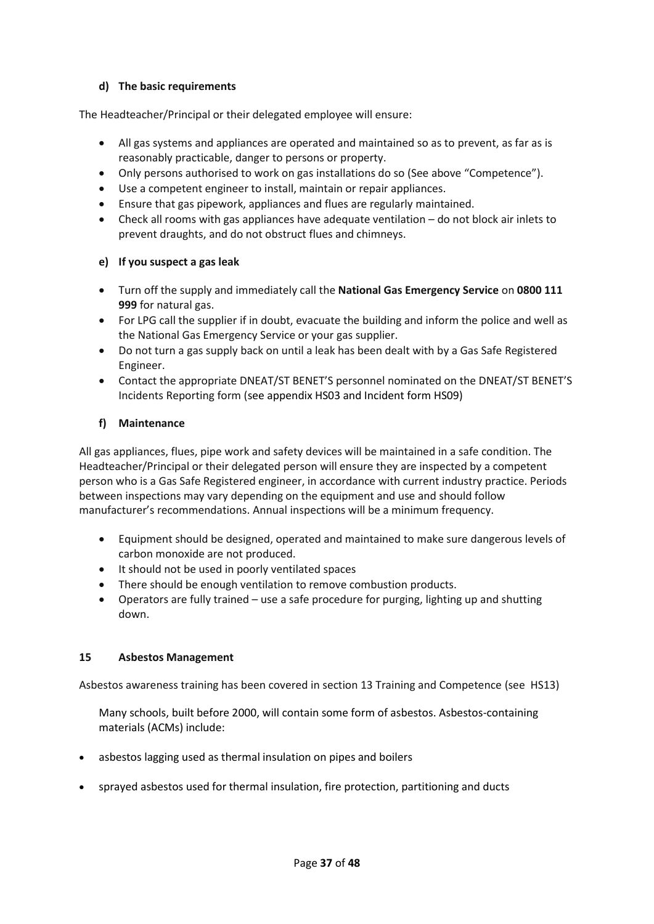## **d) The basic requirements**

The Headteacher/Principal or their delegated employee will ensure:

- All gas systems and appliances are operated and maintained so as to prevent, as far as is reasonably practicable, danger to persons or property.
- Only persons authorised to work on gas installations do so (See above "Competence").
- Use a competent engineer to install, maintain or repair appliances.
- Ensure that gas pipework, appliances and flues are regularly maintained.
- Check all rooms with gas appliances have adequate ventilation do not block air inlets to prevent draughts, and do not obstruct flues and chimneys.

#### **e) If you suspect a gas leak**

- Turn off the supply and immediately call the **National Gas Emergency Service** on **0800 111 999** for natural gas.
- For LPG call the supplier if in doubt, evacuate the building and inform the police and well as the National Gas Emergency Service or your gas supplier.
- Do not turn a gas supply back on until a leak has been dealt with by a Gas Safe Registered Engineer.
- Contact the appropriate DNEAT/ST BENET'S personnel nominated on the DNEAT/ST BENET'S Incidents Reporting form (see appendix HS03 and Incident form HS09)

#### **f) Maintenance**

All gas appliances, flues, pipe work and safety devices will be maintained in a safe condition. The Headteacher/Principal or their delegated person will ensure they are inspected by a competent person who is a Gas Safe Registered engineer, in accordance with current industry practice. Periods between inspections may vary depending on the equipment and use and should follow manufacturer's recommendations. Annual inspections will be a minimum frequency.

- Equipment should be designed, operated and maintained to make sure dangerous levels of carbon monoxide are not produced.
- It should not be used in poorly ventilated spaces
- There should be enough ventilation to remove combustion products.
- Operators are fully trained use a safe procedure for purging, lighting up and shutting down.

#### **15 Asbestos Management**

Asbestos awareness training has been covered in section 13 Training and Competence (see HS13)

Many schools, built before 2000, will contain some form of asbestos. Asbestos-containing materials (ACMs) include:

- asbestos lagging used as thermal insulation on pipes and boilers
- sprayed asbestos used for thermal insulation, fire protection, partitioning and ducts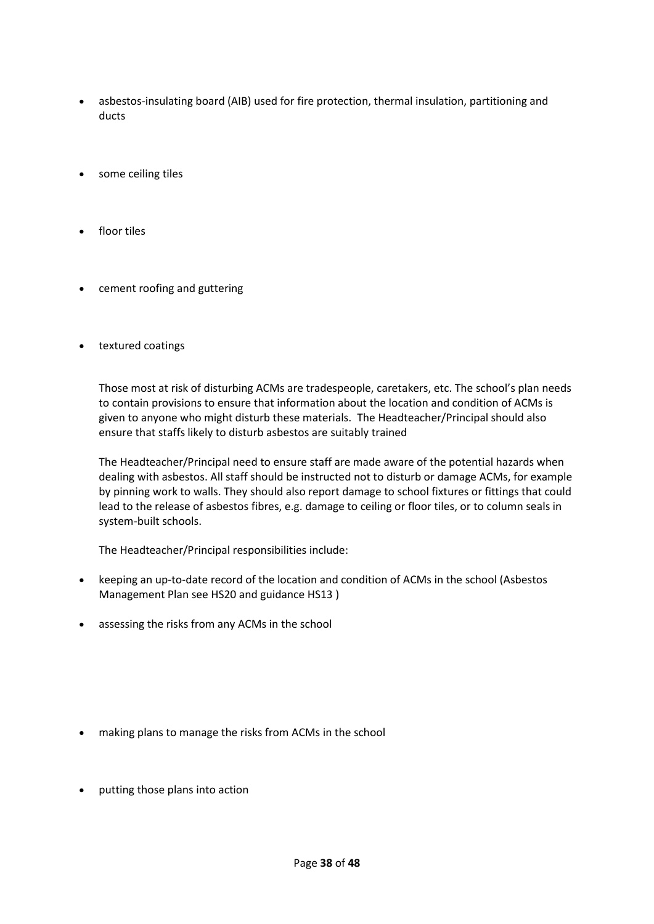- asbestos-insulating board (AIB) used for fire protection, thermal insulation, partitioning and ducts
- some ceiling tiles
- floor tiles
- cement roofing and guttering
- textured coatings

Those most at risk of disturbing ACMs are tradespeople, caretakers, etc. The school's plan needs to contain provisions to ensure that information about the location and condition of ACMs is given to anyone who might disturb these materials. The Headteacher/Principal should also ensure that staffs likely to disturb asbestos are suitably trained

The Headteacher/Principal need to ensure staff are made aware of the potential hazards when dealing with asbestos. All staff should be instructed not to disturb or damage ACMs, for example by pinning work to walls. They should also report damage to school fixtures or fittings that could lead to the release of asbestos fibres, e.g. damage to ceiling or floor tiles, or to column seals in system-built schools.

The Headteacher/Principal responsibilities include:

- keeping an up-to-date record of the location and condition of ACMs in the school (Asbestos Management Plan see HS20 and guidance HS13 )
- assessing the risks from any ACMs in the school

- making plans to manage the risks from ACMs in the school
- putting those plans into action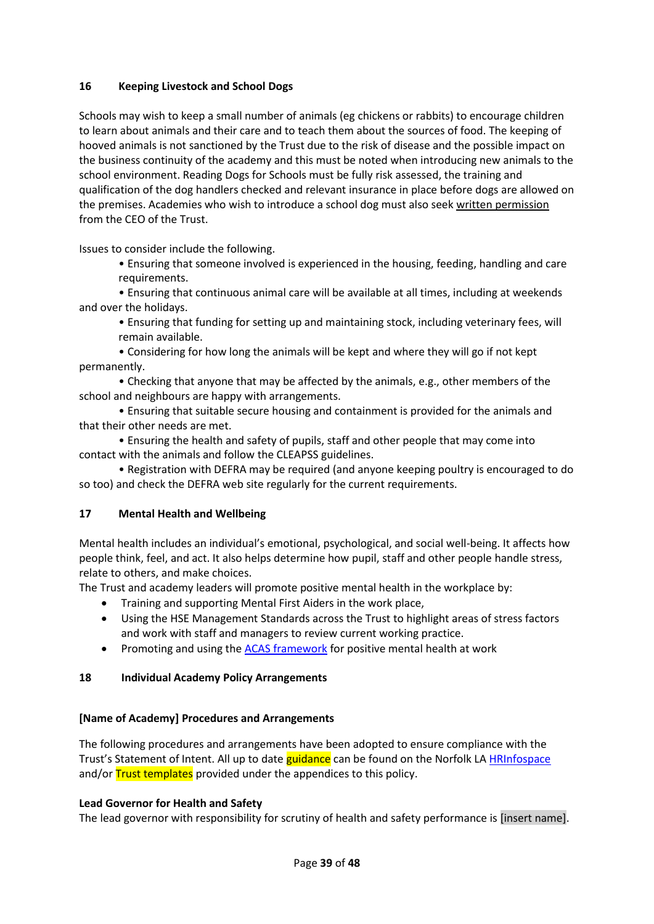#### **16 Keeping Livestock and School Dogs**

Schools may wish to keep a small number of animals (eg chickens or rabbits) to encourage children to learn about animals and their care and to teach them about the sources of food. The keeping of hooved animals is not sanctioned by the Trust due to the risk of disease and the possible impact on the business continuity of the academy and this must be noted when introducing new animals to the school environment. Reading Dogs for Schools must be fully risk assessed, the training and qualification of the dog handlers checked and relevant insurance in place before dogs are allowed on the premises. Academies who wish to introduce a school dog must also seek written permission from the CEO of the Trust.

Issues to consider include the following.

• Ensuring that someone involved is experienced in the housing, feeding, handling and care requirements.

• Ensuring that continuous animal care will be available at all times, including at weekends and over the holidays.

• Ensuring that funding for setting up and maintaining stock, including veterinary fees, will remain available.

• Considering for how long the animals will be kept and where they will go if not kept permanently.

• Checking that anyone that may be affected by the animals, e.g., other members of the school and neighbours are happy with arrangements.

• Ensuring that suitable secure housing and containment is provided for the animals and that their other needs are met.

• Ensuring the health and safety of pupils, staff and other people that may come into contact with the animals and follow the CLEAPSS guidelines.

• Registration with DEFRA may be required (and anyone keeping poultry is encouraged to do so too) and check the DEFRA web site regularly for the current requirements.

## **17 Mental Health and Wellbeing**

Mental health includes an individual's emotional, psychological, and social well-being. It affects how people think, feel, and act. It also helps determine how pupil, staff and other people handle stress, relate to others, and make choices.

The Trust and academy leaders will promote positive mental health in the workplace by:

- Training and supporting Mental First Aiders in the work place,
- Using the HSE Management Standards across the Trust to highlight areas of stress factors and work with staff and managers to review current working practice.
- Promoting and using th[e ACAS framework](https://www.acas.org.uk/index.aspx?articleid=1900) for positive mental health at work

#### **18 Individual Academy Policy Arrangements**

#### **[Name of Academy] Procedures and Arrangements**

The following procedures and arrangements have been adopted to ensure compliance with the Trust's Statement of Intent. All up to date guidance can be found on the Norfolk LA [HRInfospace](https://www.infospace.org.uk/hr/) and/or **Trust templates** provided under the appendices to this policy.

#### **Lead Governor for Health and Safety**

The lead governor with responsibility for scrutiny of health and safety performance is [insert name].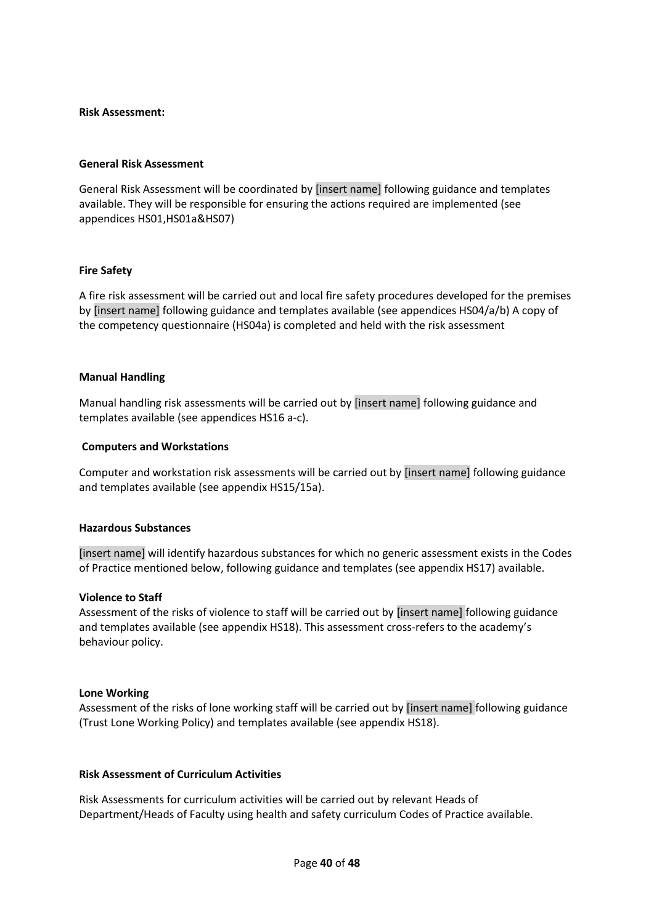#### **Risk Assessment:**

#### **General Risk Assessment**

General Risk Assessment will be coordinated by [insert name] following guidance and templates available. They will be responsible for ensuring the actions required are implemented (see appendices HS01,HS01a&HS07)

#### **Fire Safety**

A fire risk assessment will be carried out and local fire safety procedures developed for the premises by [insert name] following guidance and templates available (see appendices HS04/a/b) A copy of the competency questionnaire (HS04a) is completed and held with the risk assessment

#### **Manual Handling**

Manual handling risk assessments will be carried out by [insert name] following guidance and templates available (see appendices HS16 a-c).

#### **Computers and Workstations**

Computer and workstation risk assessments will be carried out by [insert name] following guidance and templates available (see appendix HS15/15a).

#### **Hazardous Substances**

[insert name] will identify hazardous substances for which no generic assessment exists in the Codes of Practice mentioned below, following guidance and templates (see appendix HS17) available.

#### **Violence to Staff**

Assessment of the risks of violence to staff will be carried out by [insert name] following guidance and templates available (see appendix HS18). This assessment cross-refers to the academy's behaviour policy.

#### **Lone Working**

Assessment of the risks of lone working staff will be carried out by [insert name] following guidance (Trust Lone Working Policy) and templates available (see appendix HS18).

#### **Risk Assessment of Curriculum Activities**

Risk Assessments for curriculum activities will be carried out by relevant Heads of Department/Heads of Faculty using health and safety curriculum Codes of Practice available.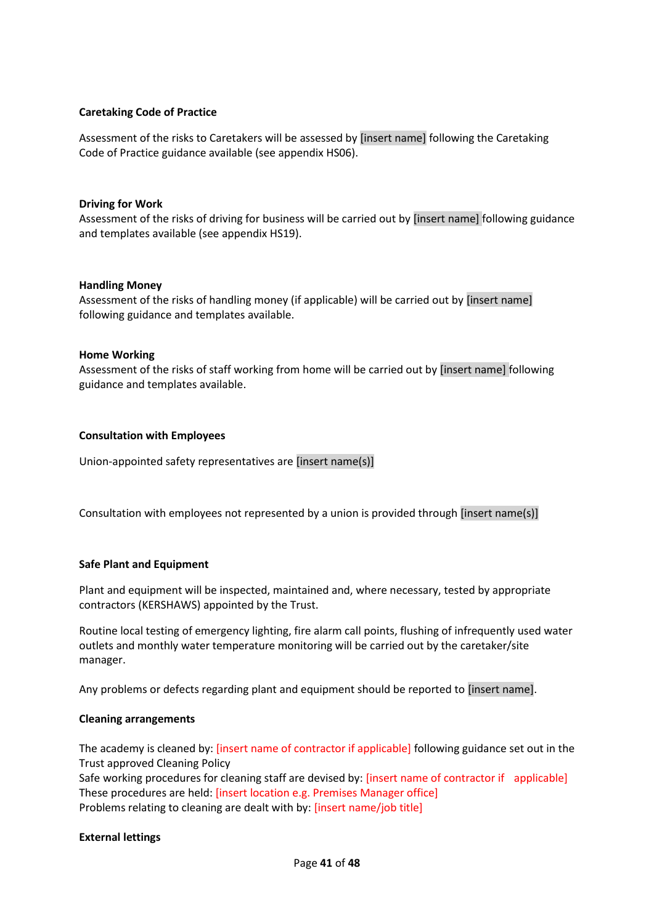#### **Caretaking Code of Practice**

Assessment of the risks to Caretakers will be assessed by [insert name] following the Caretaking Code of Practice guidance available (see appendix HS06).

#### **Driving for Work**

Assessment of the risks of driving for business will be carried out by [insert name] following guidance and templates available (see appendix HS19).

#### **Handling Money**

Assessment of the risks of handling money (if applicable) will be carried out by [insert name] following guidance and templates available.

#### **Home Working**

Assessment of the risks of staff working from home will be carried out by [insert name] following guidance and templates available.

#### **Consultation with Employees**

Union-appointed safety representatives are [insert name(s)]

Consultation with employees not represented by a union is provided through [insert name(s)]

#### **Safe Plant and Equipment**

Plant and equipment will be inspected, maintained and, where necessary, tested by appropriate contractors (KERSHAWS) appointed by the Trust.

Routine local testing of emergency lighting, fire alarm call points, flushing of infrequently used water outlets and monthly water temperature monitoring will be carried out by the caretaker/site manager.

Any problems or defects regarding plant and equipment should be reported to [insert name].

#### **Cleaning arrangements**

The academy is cleaned by: [insert name of contractor if applicable] following guidance set out in the Trust approved Cleaning Policy

Safe working procedures for cleaning staff are devised by: [insert name of contractor if applicable] These procedures are held: [insert location e.g. Premises Manager office] Problems relating to cleaning are dealt with by: [insert name/job title]

#### **External lettings**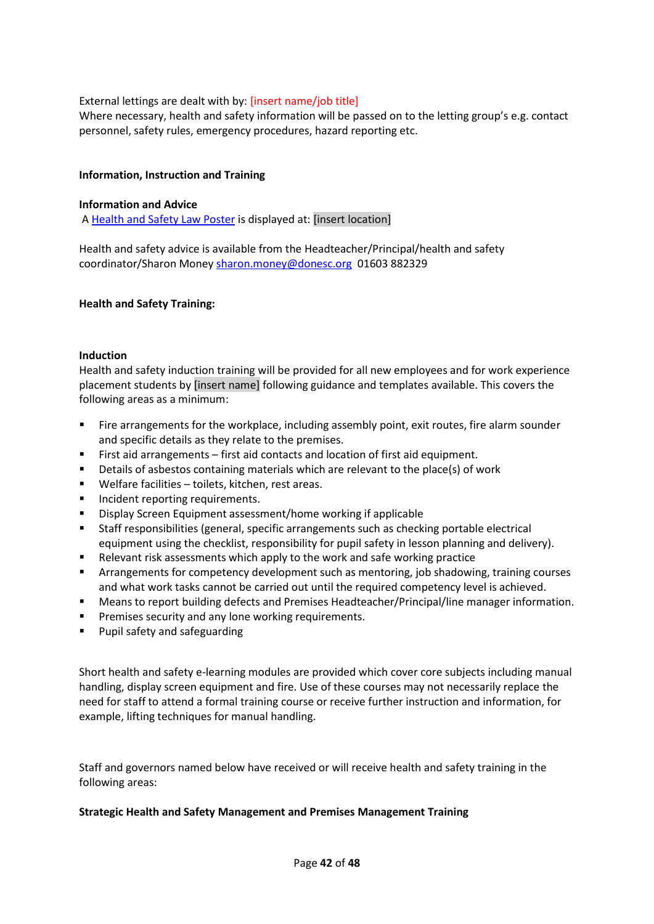#### External lettings are dealt with by: [insert name/job title]

Where necessary, health and safety information will be passed on to the letting group's e.g. contact personnel, safety rules, emergency procedures, hazard reporting etc.

#### **Information, Instruction and Training**

#### **Information and Advice**

A [Health and Safety Law Poster](http://www.hse.gov.uk/pubns/books/lawposter.htm) is displayed at: [insert location]

Health and safety advice is available from the Headteacher/Principal/health and safety coordinator/Sharon Money [sharon.money@donesc.org](mailto:sharon.money@donesc.org) 01603 882329

#### **Health and Safety Training:**

#### **Induction**

Health and safety induction training will be provided for all new employees and for work experience placement students by [insert name] following guidance and templates available. This covers the following areas as a minimum:

- Fire arrangements for the workplace, including assembly point, exit routes, fire alarm sounder and specific details as they relate to the premises.
- First aid arrangements first aid contacts and location of first aid equipment.
- Details of asbestos containing materials which are relevant to the place(s) of work
- Welfare facilities toilets, kitchen, rest areas.
- **Incident reporting requirements.**
- Display Screen Equipment assessment/home working if applicable
- Staff responsibilities (general, specific arrangements such as checking portable electrical equipment using the checklist, responsibility for pupil safety in lesson planning and delivery).
- Relevant risk assessments which apply to the work and safe working practice
- **Arrangements for competency development such as mentoring, job shadowing, training courses** and what work tasks cannot be carried out until the required competency level is achieved.
- Means to report building defects and Premises Headteacher/Principal/line manager information.
- **Premises security and any lone working requirements.**
- **Pupil safety and safeguarding**

Short health and safety e-learning modules are provided which cover core subjects including manual handling, display screen equipment and fire. Use of these courses may not necessarily replace the need for staff to attend a formal training course or receive further instruction and information, for example, lifting techniques for manual handling.

Staff and governors named below have received or will receive health and safety training in the following areas:

#### **Strategic Health and Safety Management and Premises Management Training**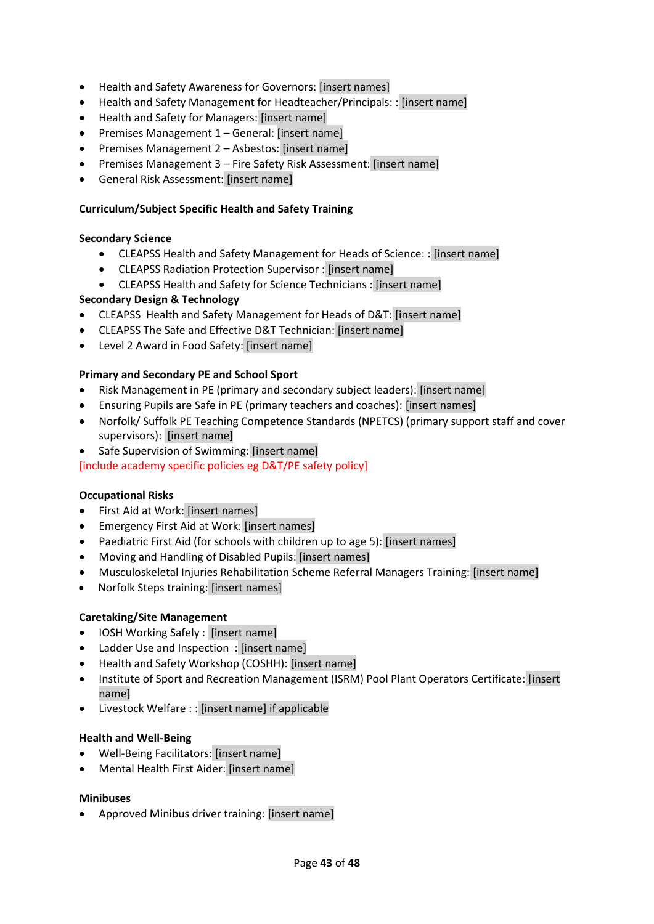- Health and Safety Awareness for Governors: [insert names]
- Health and Safety Management for Headteacher/Principals: : [insert name]
- Health and Safety for Managers: [insert name]
- Premises Management 1 General: [insert name]
- Premises Management 2 Asbestos: [insert name]
- Premises Management 3 Fire Safety Risk Assessment: [insert name]
- General Risk Assessment: [insert name]

#### **Curriculum/Subject Specific Health and Safety Training**

#### **Secondary Science**

- CLEAPSS Health and Safety Management for Heads of Science: : [insert name]
- CLEAPSS Radiation Protection Supervisor : [insert name]
- CLEAPSS Health and Safety for Science Technicians : [insert name]

## **Secondary Design & Technology**

- CLEAPSS Health and Safety Management for Heads of D&T: [insert name]
- CLEAPSS The Safe and Effective D&T Technician: [insert name]
- Level 2 Award in Food Safety: [insert name]

## **Primary and Secondary PE and School Sport**

- Risk Management in PE (primary and secondary subject leaders): [insert name]
- Ensuring Pupils are Safe in PE (primary teachers and coaches): [insert names]
- Norfolk/ Suffolk PE Teaching Competence Standards (NPETCS) (primary support staff and cover supervisors): [insert name]
- Safe Supervision of Swimming: [insert name]

[include academy specific policies eg D&T/PE safety policy]

## **Occupational Risks**

- First Aid at Work: [insert names]
- Emergency First Aid at Work: [insert names]
- Paediatric First Aid (for schools with children up to age 5): [insert names]
- Moving and Handling of Disabled Pupils: [insert names]
- Musculoskeletal Injuries Rehabilitation Scheme Referral Managers Training: [insert name]
- Norfolk Steps training: [insert names]

## **Caretaking/Site Management**

- IOSH Working Safely : [insert name]
- Ladder Use and Inspection : [insert name]
- Health and Safety Workshop (COSHH): [insert name]
- Institute of Sport and Recreation Management (ISRM) Pool Plant Operators Certificate: [insert name]
- Livestock Welfare : : [insert name] if applicable

## **Health and Well-Being**

- Well-Being Facilitators: [insert name]
- Mental Health First Aider: [insert name]

## **Minibuses**

Approved Minibus driver training: [insert name]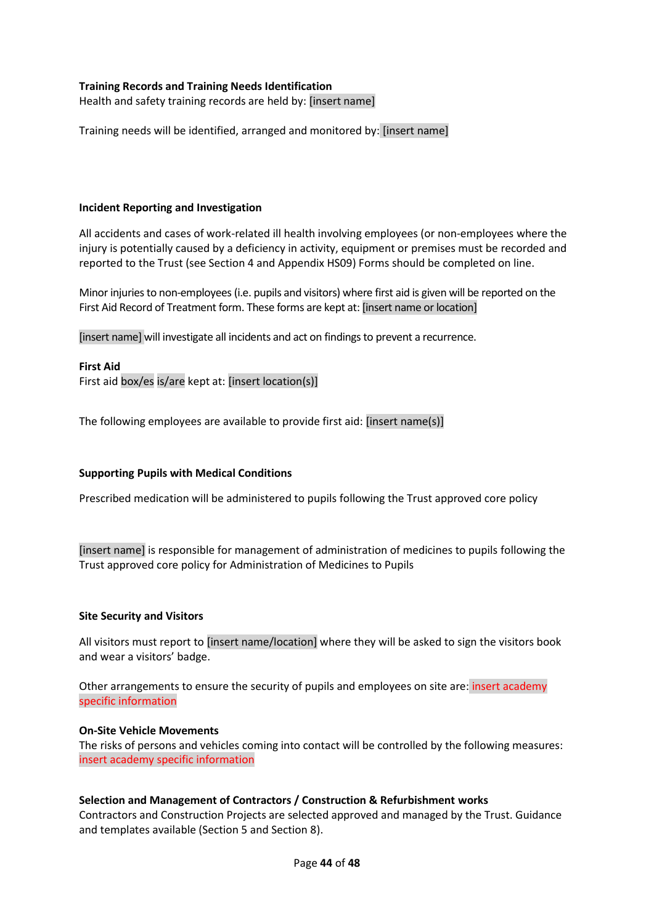#### **Training Records and Training Needs Identification**

Health and safety training records are held by: [insert name]

Training needs will be identified, arranged and monitored by: [insert name]

#### **Incident Reporting and Investigation**

All accidents and cases of work-related ill health involving employees (or non-employees where the injury is potentially caused by a deficiency in activity, equipment or premises must be recorded and reported to the Trust (see Section 4 and Appendix HS09) Forms should be completed on line.

Minor injuries to non-employees (i.e. pupils and visitors) where first aid is given will be reported on the First Aid Record of Treatment form. These forms are kept at: [insert name or location]

[insert name] will investigate all incidents and act on findings to prevent a recurrence.

#### **First Aid**

First aid box/es is/are kept at: [insert location(s)]

The following employees are available to provide first aid: [insert name(s)]

#### **Supporting Pupils with Medical Conditions**

Prescribed medication will be administered to pupils following the Trust approved core policy

[insert name] is responsible for management of administration of medicines to pupils following the Trust approved core policy for Administration of Medicines to Pupils

#### **Site Security and Visitors**

All visitors must report to [insert name/location] where they will be asked to sign the visitors book and wear a visitors' badge.

Other arrangements to ensure the security of pupils and employees on site are: insert academy specific information

#### **On-Site Vehicle Movements**

The risks of persons and vehicles coming into contact will be controlled by the following measures: insert academy specific information

#### **Selection and Management of Contractors / Construction & Refurbishment works**

Contractors and Construction Projects are selected approved and managed by the Trust. Guidance and templates available (Section 5 and Section 8).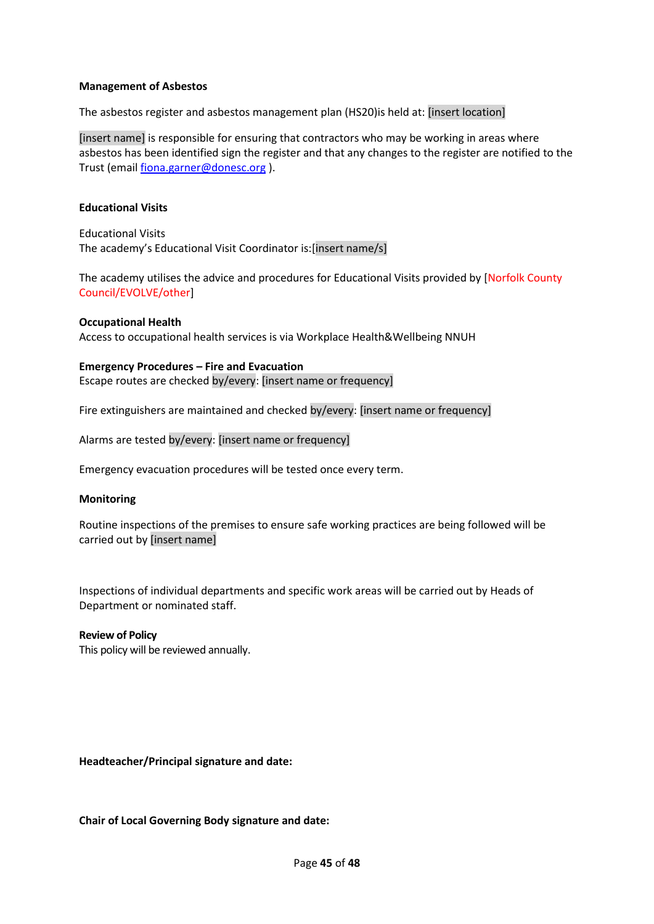#### **Management of Asbestos**

The asbestos register and asbestos management plan (HS20)is held at: [insert location]

[insert name] is responsible for ensuring that contractors who may be working in areas where asbestos has been identified sign the register and that any changes to the register are notified to the Trust (email [fiona.garner@donesc.org](mailto:fiona.garner@donesc.org) ).

#### **Educational Visits**

Educational Visits The academy's Educational Visit Coordinator is:[insert name/s]

The academy utilises the advice and procedures for Educational Visits provided by [Norfolk County Council/EVOLVE/other]

# **Occupational Health**

Access to occupational health services is via Workplace Health&Wellbeing NNUH

**Emergency Procedures – Fire and Evacuation** Escape routes are checked by/every: [insert name or frequency]

Fire extinguishers are maintained and checked by/every: [insert name or frequency]

Alarms are tested by/every: [insert name or frequency]

Emergency evacuation procedures will be tested once every term.

#### **Monitoring**

Routine inspections of the premises to ensure safe working practices are being followed will be carried out by [insert name]

Inspections of individual departments and specific work areas will be carried out by Heads of Department or nominated staff.

# **Review of Policy**

This policy will be reviewed annually.

**Headteacher/Principal signature and date:**

**Chair of Local Governing Body signature and date:**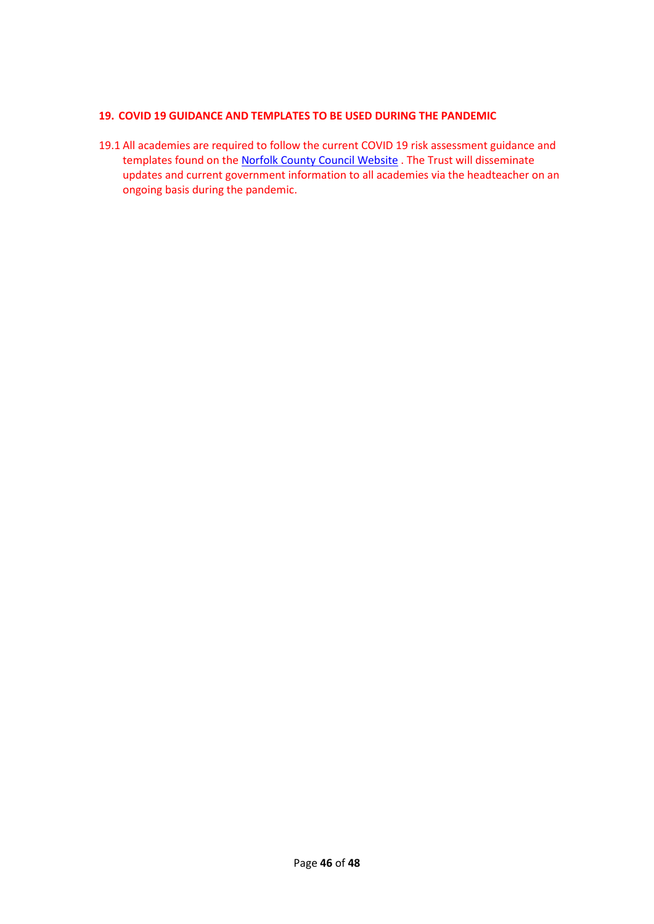## **19. COVID 19 GUIDANCE AND TEMPLATES TO BE USED DURING THE PANDEMIC**

19.1 All academies are required to follow the current COVID 19 risk assessment guidance and templates found on the [Norfolk County Council Website](https://www.schools.norfolk.gov.uk/coronavirus/health-safety-and-wellbeing) . The Trust will disseminate updates and current government information to all academies via the headteacher on an ongoing basis during the pandemic.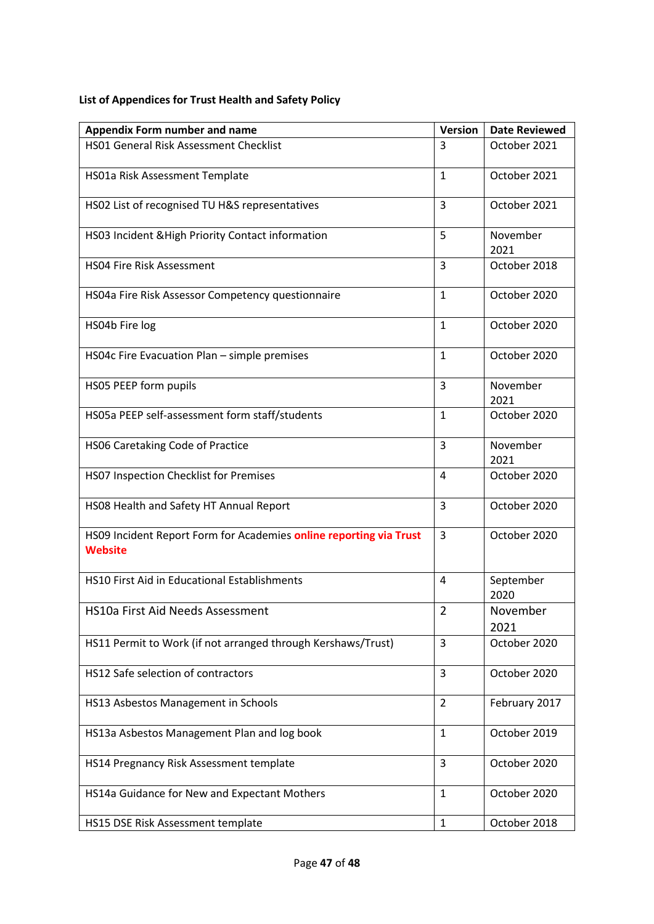# **List of Appendices for Trust Health and Safety Policy**

| <b>Appendix Form number and name</b>                                                 | <b>Version</b> | <b>Date Reviewed</b> |
|--------------------------------------------------------------------------------------|----------------|----------------------|
| HS01 General Risk Assessment Checklist                                               | 3              | October 2021         |
| HS01a Risk Assessment Template                                                       | $\mathbf{1}$   | October 2021         |
| HS02 List of recognised TU H&S representatives                                       | 3              | October 2021         |
| HS03 Incident & High Priority Contact information                                    | 5              | November<br>2021     |
| <b>HS04 Fire Risk Assessment</b>                                                     | 3              | October 2018         |
| HS04a Fire Risk Assessor Competency questionnaire                                    | $\mathbf{1}$   | October 2020         |
| HS04b Fire log                                                                       | $\mathbf{1}$   | October 2020         |
| HS04c Fire Evacuation Plan - simple premises                                         | 1              | October 2020         |
| HS05 PEEP form pupils                                                                | 3              | November<br>2021     |
| HS05a PEEP self-assessment form staff/students                                       | $\mathbf{1}$   | October 2020         |
| HS06 Caretaking Code of Practice                                                     | 3              | November<br>2021     |
| HS07 Inspection Checklist for Premises                                               | 4              | October 2020         |
| HS08 Health and Safety HT Annual Report                                              | 3              | October 2020         |
| HS09 Incident Report Form for Academies online reporting via Trust<br><b>Website</b> | 3              | October 2020         |
| HS10 First Aid in Educational Establishments                                         | 4              | September<br>2020    |
| HS10a First Aid Needs Assessment                                                     | $\overline{2}$ | November<br>2021     |
| HS11 Permit to Work (if not arranged through Kershaws/Trust)                         | 3              | October 2020         |
| HS12 Safe selection of contractors                                                   | 3              | October 2020         |
| HS13 Asbestos Management in Schools                                                  | $\overline{2}$ | February 2017        |
| HS13a Asbestos Management Plan and log book                                          | $\mathbf{1}$   | October 2019         |
| HS14 Pregnancy Risk Assessment template                                              | 3              | October 2020         |
| HS14a Guidance for New and Expectant Mothers                                         | $\mathbf{1}$   | October 2020         |
| HS15 DSE Risk Assessment template                                                    | $\mathbf{1}$   | October 2018         |